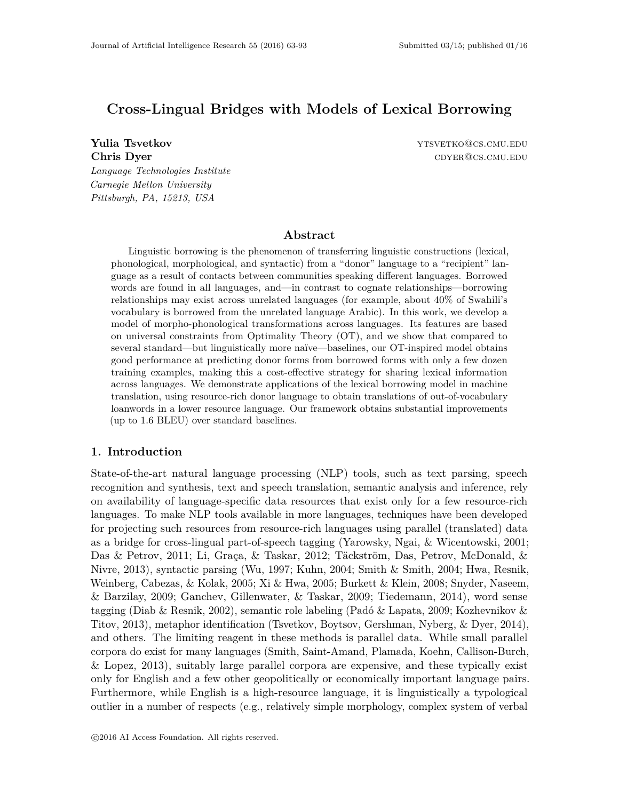# **Cross-Lingual Bridges with Models of Lexical Borrowing**

**Yulia Tsvetkov ytsuetkov ytsuetkov ytsvetko**ws.cmu.edu **Chris Dyer** coverage control control control control control control control control control control control control control control control control control control control control control control control control control *Language Technologies Institute Carnegie Mellon University*

*Pittsburgh, PA, 15213, USA*

# **Abstract**

Linguistic borrowing is the phenomenon of transferring linguistic constructions (lexical, phonological, morphological, and syntactic) from a "donor" language to a "recipient" language as a result of contacts between communities speaking different languages. Borrowed words are found in all languages, and—in contrast to cognate relationships—borrowing relationships may exist across unrelated languages (for example, about 40% of Swahili's vocabulary is borrowed from the unrelated language Arabic). In this work, we develop a model of morpho-phonological transformations across languages. Its features are based on universal constraints from Optimality Theory (OT), and we show that compared to several standard—but linguistically more naïve—baselines, our OT-inspired model obtains good performance at predicting donor forms from borrowed forms with only a few dozen training examples, making this a cost-effective strategy for sharing lexical information across languages. We demonstrate applications of the lexical borrowing model in machine translation, using resource-rich donor language to obtain translations of out-of-vocabulary loanwords in a lower resource language. Our framework obtains substantial improvements (up to 1.6 BLEU) over standard baselines.

# **1. Introduction**

State-of-the-art natural language processing (NLP) tools, such as text parsing, speech recognition and synthesis, text and speech translation, semantic analysis and inference, rely on availability of language-specific data resources that exist only for a few resource-rich languages. To make NLP tools available in more languages, techniques have been developed for projecting such resources from resource-rich languages using parallel (translated) data as a bridge for cross-lingual part-of-speech tagging (Yarowsky, Ngai, & Wicentowski, 2001; Das & Petrov, 2011; Li, Graça, & Taskar, 2012; Täckström, Das, Petrov, McDonald, & Nivre, 2013), syntactic parsing (Wu, 1997; Kuhn, 2004; Smith & Smith, 2004; Hwa, Resnik, Weinberg, Cabezas, & Kolak, 2005; Xi & Hwa, 2005; Burkett & Klein, 2008; Snyder, Naseem, & Barzilay, 2009; Ganchev, Gillenwater, & Taskar, 2009; Tiedemann, 2014), word sense tagging (Diab & Resnik, 2002), semantic role labeling (Padó & Lapata, 2009; Kozhevnikov & Titov, 2013), metaphor identification (Tsvetkov, Boytsov, Gershman, Nyberg, & Dyer, 2014), and others. The limiting reagent in these methods is parallel data. While small parallel corpora do exist for many languages (Smith, Saint-Amand, Plamada, Koehn, Callison-Burch, & Lopez, 2013), suitably large parallel corpora are expensive, and these typically exist only for English and a few other geopolitically or economically important language pairs. Furthermore, while English is a high-resource language, it is linguistically a typological outlier in a number of respects (e.g., relatively simple morphology, complex system of verbal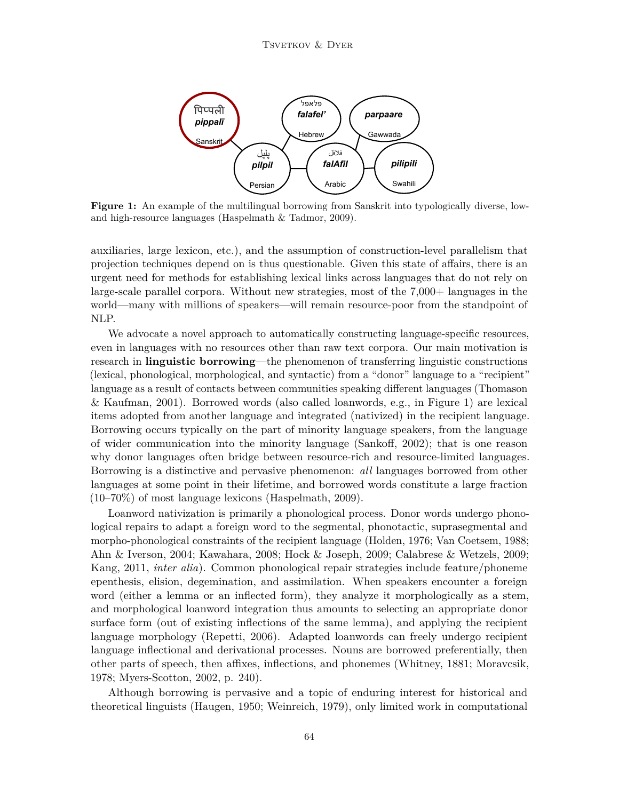

**Figure 1:** An example of the multilingual borrowing from Sanskrit into typologically diverse, lowand high-resource languages (Haspelmath & Tadmor, 2009).

auxiliaries, large lexicon, etc.), and the assumption of construction-level parallelism that projection techniques depend on is thus questionable. Given this state of affairs, there is an urgent need for methods for establishing lexical links across languages that do not rely on large-scale parallel corpora. Without new strategies, most of the 7,000+ languages in the world—many with millions of speakers—will remain resource-poor from the standpoint of NLP.

We advocate a novel approach to automatically constructing language-specific resources, even in languages with no resources other than raw text corpora. Our main motivation is research in **linguistic borrowing**—the phenomenon of transferring linguistic constructions (lexical, phonological, morphological, and syntactic) from a "donor" language to a "recipient" language as a result of contacts between communities speaking different languages (Thomason & Kaufman, 2001). Borrowed words (also called loanwords, e.g., in Figure 1) are lexical items adopted from another language and integrated (nativized) in the recipient language. Borrowing occurs typically on the part of minority language speakers, from the language of wider communication into the minority language (Sankoff, 2002); that is one reason why donor languages often bridge between resource-rich and resource-limited languages. Borrowing is a distinctive and pervasive phenomenon: *all* languages borrowed from other languages at some point in their lifetime, and borrowed words constitute a large fraction (10–70%) of most language lexicons (Haspelmath, 2009).

Loanword nativization is primarily a phonological process. Donor words undergo phonological repairs to adapt a foreign word to the segmental, phonotactic, suprasegmental and morpho-phonological constraints of the recipient language (Holden, 1976; Van Coetsem, 1988; Ahn & Iverson, 2004; Kawahara, 2008; Hock & Joseph, 2009; Calabrese & Wetzels, 2009; Kang, 2011, *inter alia*). Common phonological repair strategies include feature/phoneme epenthesis, elision, degemination, and assimilation. When speakers encounter a foreign word (either a lemma or an inflected form), they analyze it morphologically as a stem, and morphological loanword integration thus amounts to selecting an appropriate donor surface form (out of existing inflections of the same lemma), and applying the recipient language morphology (Repetti, 2006). Adapted loanwords can freely undergo recipient language inflectional and derivational processes. Nouns are borrowed preferentially, then other parts of speech, then affixes, inflections, and phonemes (Whitney, 1881; Moravcsik, 1978; Myers-Scotton, 2002, p. 240).

Although borrowing is pervasive and a topic of enduring interest for historical and theoretical linguists (Haugen, 1950; Weinreich, 1979), only limited work in computational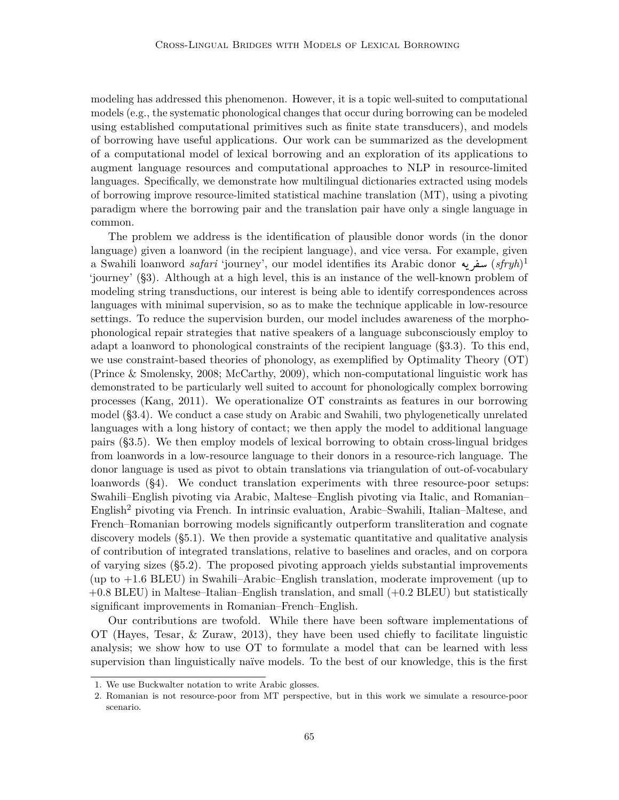modeling has addressed this phenomenon. However, it is a topic well-suited to computational models (e.g., the systematic phonological changes that occur during borrowing can be modeled using established computational primitives such as finite state transducers), and models of borrowing have useful applications. Our work can be summarized as the development of a computational model of lexical borrowing and an exploration of its applications to augment language resources and computational approaches to NLP in resource-limited languages. Specifically, we demonstrate how multilingual dictionaries extracted using models of borrowing improve resource-limited statistical machine translation (MT), using a pivoting paradigm where the borrowing pair and the translation pair have only a single language in common.

The problem we address is the identification of plausible donor words (in the donor language) given a loanword (in the recipient language), and vice versa. For example, given a Swahili loanword *safari* 'journey', our model identifies its Arabic donor ضريه (*sfryh*)<sup>1</sup> i<br>. 'journey' (§3). Although at a high level, this is an instance of the well-known problem of modeling string transductions, our interest is being able to identify correspondences across languages with minimal supervision, so as to make the technique applicable in low-resource settings. To reduce the supervision burden, our model includes awareness of the morphophonological repair strategies that native speakers of a language subconsciously employ to adapt a loanword to phonological constraints of the recipient language (§3.3). To this end, we use constraint-based theories of phonology, as exemplified by Optimality Theory (OT) (Prince & Smolensky, 2008; McCarthy, 2009), which non-computational linguistic work has demonstrated to be particularly well suited to account for phonologically complex borrowing processes (Kang, 2011). We operationalize OT constraints as features in our borrowing model (§3.4). We conduct a case study on Arabic and Swahili, two phylogenetically unrelated languages with a long history of contact; we then apply the model to additional language pairs (§3.5). We then employ models of lexical borrowing to obtain cross-lingual bridges from loanwords in a low-resource language to their donors in a resource-rich language. The donor language is used as pivot to obtain translations via triangulation of out-of-vocabulary loanwords (§4). We conduct translation experiments with three resource-poor setups: Swahili–English pivoting via Arabic, Maltese–English pivoting via Italic, and Romanian– English<sup>2</sup> pivoting via French. In intrinsic evaluation, Arabic–Swahili, Italian–Maltese, and French–Romanian borrowing models significantly outperform transliteration and cognate discovery models (§5.1). We then provide a systematic quantitative and qualitative analysis of contribution of integrated translations, relative to baselines and oracles, and on corpora of varying sizes (§5.2). The proposed pivoting approach yields substantial improvements (up to +1*.*6 BLEU) in Swahili–Arabic–English translation, moderate improvement (up to +0*.*8 BLEU) in Maltese–Italian–English translation, and small (+0*.*2 BLEU) but statistically significant improvements in Romanian–French–English.

Our contributions are twofold. While there have been software implementations of OT (Hayes, Tesar, & Zuraw, 2013), they have been used chiefly to facilitate linguistic analysis; we show how to use OT to formulate a model that can be learned with less supervision than linguistically naïve models. To the best of our knowledge, this is the first

<sup>1.</sup> We use Buckwalter notation to write Arabic glosses.

<sup>2.</sup> Romanian is not resource-poor from MT perspective, but in this work we simulate a resource-poor scenario.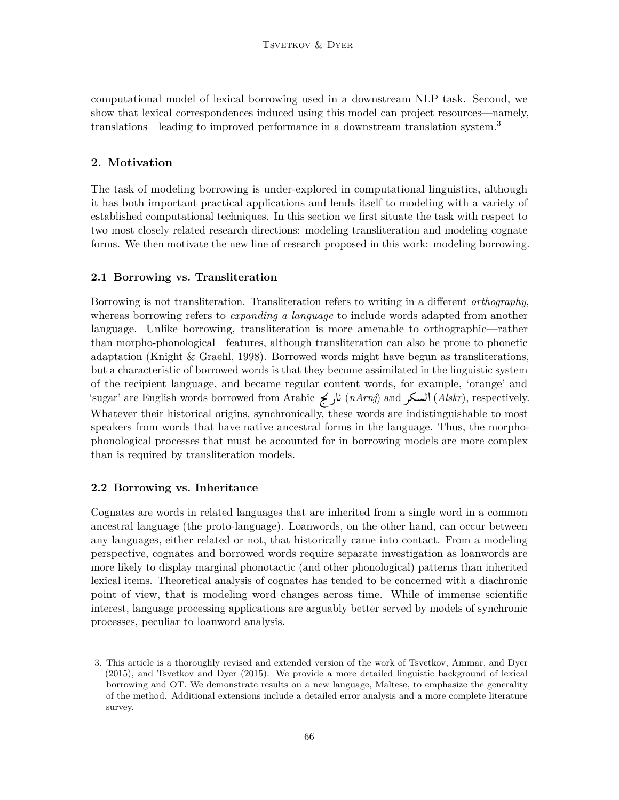computational model of lexical borrowing used in a downstream NLP task. Second, we show that lexical correspondences induced using this model can project resources—namely, translations—leading to improved performance in a downstream translation system.<sup>3</sup>

# **2. Motivation**

The task of modeling borrowing is under-explored in computational linguistics, although it has both important practical applications and lends itself to modeling with a variety of established computational techniques. In this section we first situate the task with respect to two most closely related research directions: modeling transliteration and modeling cognate forms. We then motivate the new line of research proposed in this work: modeling borrowing.

# **2.1 Borrowing vs. Transliteration**

Borrowing is not transliteration. Transliteration refers to writing in a different *orthography*, whereas borrowing refers to *expanding a language* to include words adapted from another language. Unlike borrowing, transliteration is more amenable to orthographic—rather than morpho-phonological—features, although transliteration can also be prone to phonetic adaptation (Knight & Graehl, 1998). Borrowed words might have begun as transliterations, but a characteristic of borrowed words is that they become assimilated in the linguistic system of the recipient language, and became regular content words, for example, 'orange' and of the recipient language, and became regular content words, for example, 'orange' and<br>'sugar' are English words borrowed from Arabic نار نح (*nArnj*) and السكر (*Alskr*), respectively. .  $\ddot{\phantom{0}}$ Whatever their historical origins, synchronically, these words are indistinguishable to most speakers from words that have native ancestral forms in the language. Thus, the morphophonological processes that must be accounted for in borrowing models are more complex than is required by transliteration models.

# **2.2 Borrowing vs. Inheritance**

Cognates are words in related languages that are inherited from a single word in a common ancestral language (the proto-language). Loanwords, on the other hand, can occur between any languages, either related or not, that historically came into contact. From a modeling perspective, cognates and borrowed words require separate investigation as loanwords are more likely to display marginal phonotactic (and other phonological) patterns than inherited lexical items. Theoretical analysis of cognates has tended to be concerned with a diachronic point of view, that is modeling word changes across time. While of immense scientific interest, language processing applications are arguably better served by models of synchronic processes, peculiar to loanword analysis.

<sup>3.</sup> This article is a thoroughly revised and extended version of the work of Tsvetkov, Ammar, and Dyer (2015), and Tsvetkov and Dyer (2015). We provide a more detailed linguistic background of lexical borrowing and OT. We demonstrate results on a new language, Maltese, to emphasize the generality of the method. Additional extensions include a detailed error analysis and a more complete literature survey.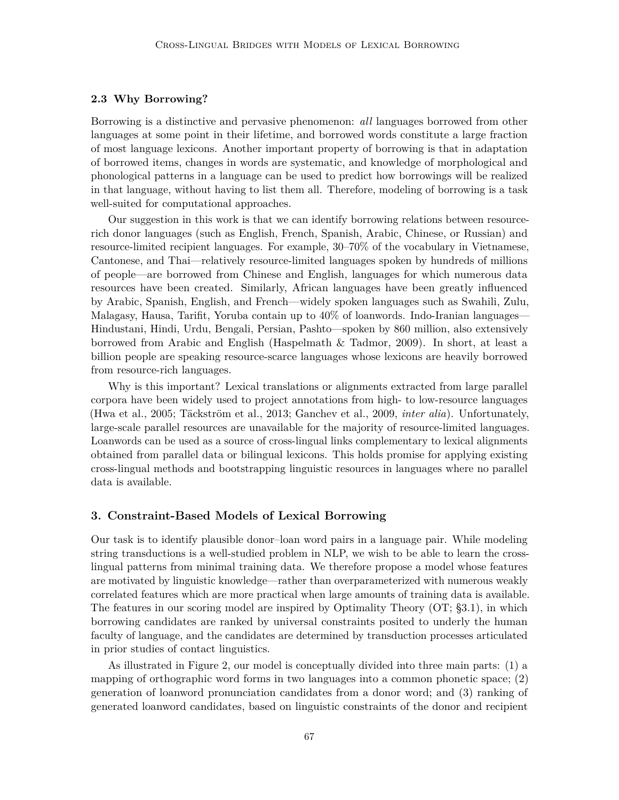# **2.3 Why Borrowing?**

Borrowing is a distinctive and pervasive phenomenon: *all* languages borrowed from other languages at some point in their lifetime, and borrowed words constitute a large fraction of most language lexicons. Another important property of borrowing is that in adaptation of borrowed items, changes in words are systematic, and knowledge of morphological and phonological patterns in a language can be used to predict how borrowings will be realized in that language, without having to list them all. Therefore, modeling of borrowing is a task well-suited for computational approaches.

Our suggestion in this work is that we can identify borrowing relations between resourcerich donor languages (such as English, French, Spanish, Arabic, Chinese, or Russian) and resource-limited recipient languages. For example, 30–70% of the vocabulary in Vietnamese, Cantonese, and Thai—relatively resource-limited languages spoken by hundreds of millions of people—are borrowed from Chinese and English, languages for which numerous data resources have been created. Similarly, African languages have been greatly influenced by Arabic, Spanish, English, and French—widely spoken languages such as Swahili, Zulu, Malagasy, Hausa, Tarifit, Yoruba contain up to 40% of loanwords. Indo-Iranian languages— Hindustani, Hindi, Urdu, Bengali, Persian, Pashto—spoken by 860 million, also extensively borrowed from Arabic and English (Haspelmath & Tadmor, 2009). In short, at least a billion people are speaking resource-scarce languages whose lexicons are heavily borrowed from resource-rich languages.

Why is this important? Lexical translations or alignments extracted from large parallel corpora have been widely used to project annotations from high- to low-resource languages (Hwa et al., 2005; Täckström et al., 2013; Ganchev et al., 2009, *inter alia*). Unfortunately, large-scale parallel resources are unavailable for the majority of resource-limited languages. Loanwords can be used as a source of cross-lingual links complementary to lexical alignments obtained from parallel data or bilingual lexicons. This holds promise for applying existing cross-lingual methods and bootstrapping linguistic resources in languages where no parallel data is available.

# **3. Constraint-Based Models of Lexical Borrowing**

Our task is to identify plausible donor–loan word pairs in a language pair. While modeling string transductions is a well-studied problem in NLP, we wish to be able to learn the crosslingual patterns from minimal training data. We therefore propose a model whose features are motivated by linguistic knowledge—rather than overparameterized with numerous weakly correlated features which are more practical when large amounts of training data is available. The features in our scoring model are inspired by Optimality Theory (OT; §3.1), in which borrowing candidates are ranked by universal constraints posited to underly the human faculty of language, and the candidates are determined by transduction processes articulated in prior studies of contact linguistics.

As illustrated in Figure 2, our model is conceptually divided into three main parts: (1) a mapping of orthographic word forms in two languages into a common phonetic space; (2) generation of loanword pronunciation candidates from a donor word; and (3) ranking of generated loanword candidates, based on linguistic constraints of the donor and recipient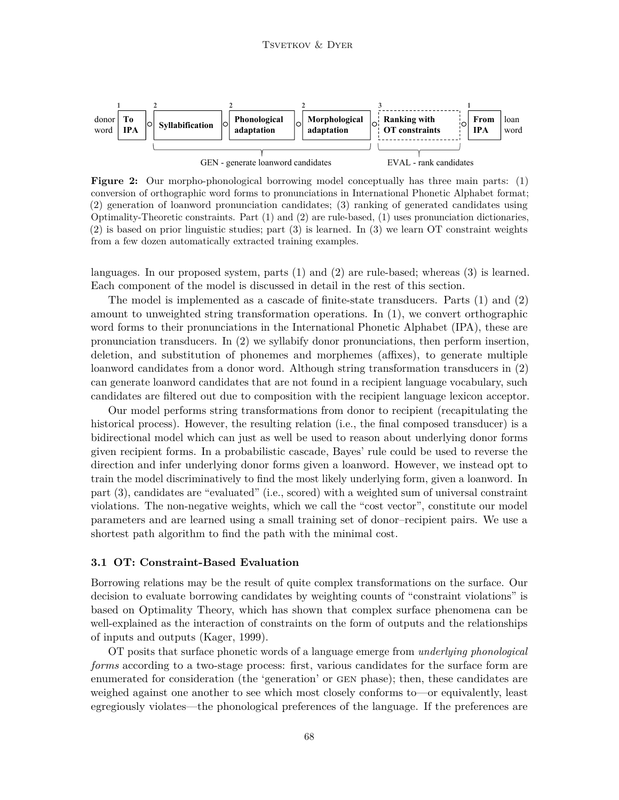

**Figure 2:** Our morpho-phonological borrowing model conceptually has three main parts: (1) conversion of orthographic word forms to pronunciations in International Phonetic Alphabet format; (2) generation of loanword pronunciation candidates; (3) ranking of generated candidates using Optimality-Theoretic constraints. Part (1) and (2) are rule-based, (1) uses pronunciation dictionaries, (2) is based on prior linguistic studies; part (3) is learned. In (3) we learn OT constraint weights from a few dozen automatically extracted training examples.

languages. In our proposed system, parts (1) and (2) are rule-based; whereas (3) is learned. Each component of the model is discussed in detail in the rest of this section.

The model is implemented as a cascade of finite-state transducers. Parts (1) and (2) amount to unweighted string transformation operations. In (1), we convert orthographic word forms to their pronunciations in the International Phonetic Alphabet (IPA), these are pronunciation transducers. In (2) we syllabify donor pronunciations, then perform insertion, deletion, and substitution of phonemes and morphemes (affixes), to generate multiple loanword candidates from a donor word. Although string transformation transducers in (2) can generate loanword candidates that are not found in a recipient language vocabulary, such candidates are filtered out due to composition with the recipient language lexicon acceptor.

Our model performs string transformations from donor to recipient (recapitulating the historical process). However, the resulting relation (i.e., the final composed transducer) is a bidirectional model which can just as well be used to reason about underlying donor forms given recipient forms. In a probabilistic cascade, Bayes' rule could be used to reverse the direction and infer underlying donor forms given a loanword. However, we instead opt to train the model discriminatively to find the most likely underlying form, given a loanword. In part (3), candidates are "evaluated" (i.e., scored) with a weighted sum of universal constraint violations. The non-negative weights, which we call the "cost vector", constitute our model parameters and are learned using a small training set of donor–recipient pairs. We use a shortest path algorithm to find the path with the minimal cost.

#### **3.1 OT: Constraint-Based Evaluation**

Borrowing relations may be the result of quite complex transformations on the surface. Our decision to evaluate borrowing candidates by weighting counts of "constraint violations" is based on Optimality Theory, which has shown that complex surface phenomena can be well-explained as the interaction of constraints on the form of outputs and the relationships of inputs and outputs (Kager, 1999).

OT posits that surface phonetic words of a language emerge from *underlying phonological forms* according to a two-stage process: first, various candidates for the surface form are enumerated for consideration (the 'generation' or gen phase); then, these candidates are weighed against one another to see which most closely conforms to—or equivalently, least egregiously violates—the phonological preferences of the language. If the preferences are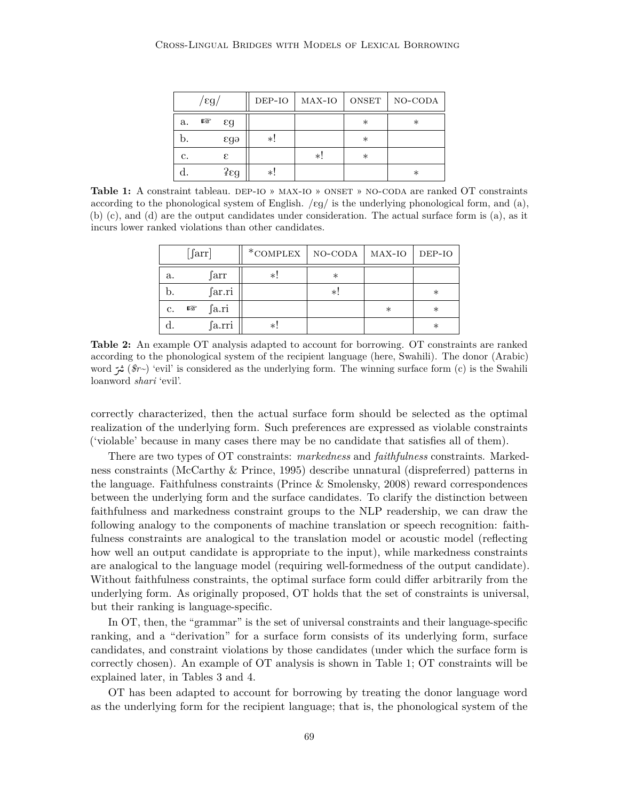| Έg |   | DEP-IO        | MAX-IO | <b>ONSET</b> | NO-CODA |        |
|----|---|---------------|--------|--------------|---------|--------|
| a. | 隐 | eg            |        |              | $\ast$  | $\ast$ |
| D. |   | eg9           | *!     |              | $\ast$  |        |
| c. |   | ε             |        | *!           | $\ast$  |        |
|    |   | $2\epsilon$ g | *!     |              |         | $\ast$ |

Table 1: A constraint tableau. DEP-IO » MAX-IO » ONSET » NO-CODA are ranked OT constraints according to the phonological system of English.  $\text{/}$  eg/ is the underlying phonological form, and (a), (b) (c), and (d) are the output candidates under consideration. The actual surface form is (a), as it incurs lower ranked violations than other candidates.

| $\lceil \text{farr} \rceil$ |            | $*$ COMPLEX | NO-CODA | MAX-IO | DEP-IO |
|-----------------------------|------------|-------------|---------|--------|--------|
| a.                          | farr       | *!          | $\ast$  |        |        |
| D.                          | ∫ar.ri     |             | ∗!      |        | $\ast$ |
| c.                          | fa.ri<br>眨 |             |         | $\ast$ | $\ast$ |
|                             | ∫a.rri     | *!          |         |        | $\ast$ |

**Table 2:** An example OT analysis adapted to account for borrowing. OT constraints are ranked according to the phonological system of the recipient language (here, Swahili). The donor (Arabic) according to the phonological system of the recipient language (here, Swahili). The donor (Arabic)<br>word **\*\*** (*\$r~*) 'evil' is considered as the underlying form. The winning surface form (c) is the Swahili iı<br>^ loanword *shari* 'evil'.

correctly characterized, then the actual surface form should be selected as the optimal realization of the underlying form. Such preferences are expressed as violable constraints ('violable' because in many cases there may be no candidate that satisfies all of them).

There are two types of OT constraints: *markedness* and *faithfulness* constraints. Markedness constraints (McCarthy & Prince, 1995) describe unnatural (dispreferred) patterns in the language. Faithfulness constraints (Prince & Smolensky, 2008) reward correspondences between the underlying form and the surface candidates. To clarify the distinction between faithfulness and markedness constraint groups to the NLP readership, we can draw the following analogy to the components of machine translation or speech recognition: faithfulness constraints are analogical to the translation model or acoustic model (reflecting how well an output candidate is appropriate to the input), while markedness constraints are analogical to the language model (requiring well-formedness of the output candidate). Without faithfulness constraints, the optimal surface form could differ arbitrarily from the underlying form. As originally proposed, OT holds that the set of constraints is universal, but their ranking is language-specific.

In OT, then, the "grammar" is the set of universal constraints and their language-specific ranking, and a "derivation" for a surface form consists of its underlying form, surface candidates, and constraint violations by those candidates (under which the surface form is correctly chosen). An example of OT analysis is shown in Table 1; OT constraints will be explained later, in Tables 3 and 4.

OT has been adapted to account for borrowing by treating the donor language word as the underlying form for the recipient language; that is, the phonological system of the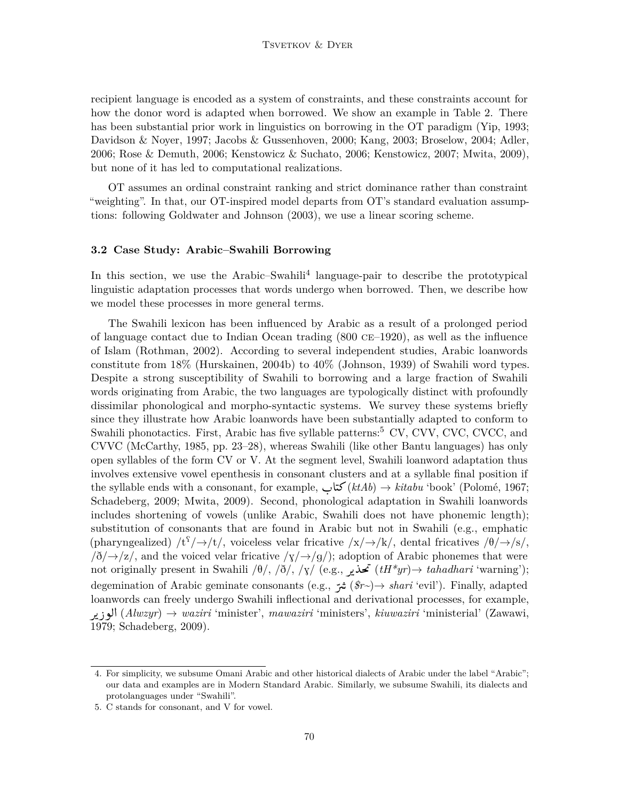recipient language is encoded as a system of constraints, and these constraints account for how the donor word is adapted when borrowed. We show an example in Table 2. There has been substantial prior work in linguistics on borrowing in the OT paradigm (Yip, 1993; Davidson & Noyer, 1997; Jacobs & Gussenhoven, 2000; Kang, 2003; Broselow, 2004; Adler, 2006; Rose & Demuth, 2006; Kenstowicz & Suchato, 2006; Kenstowicz, 2007; Mwita, 2009), but none of it has led to computational realizations.

OT assumes an ordinal constraint ranking and strict dominance rather than constraint "weighting". In that, our OT-inspired model departs from OT's standard evaluation assumptions: following Goldwater and Johnson (2003), we use a linear scoring scheme.

#### **3.2 Case Study: Arabic–Swahili Borrowing**

In this section, we use the Arabic–Swahili<sup>4</sup> language-pair to describe the prototypical linguistic adaptation processes that words undergo when borrowed. Then, we describe how we model these processes in more general terms.

The Swahili lexicon has been influenced by Arabic as a result of a prolonged period of language contact due to Indian Ocean trading (800 ce–1920), as well as the influence of Islam (Rothman, 2002). According to several independent studies, Arabic loanwords constitute from 18% (Hurskainen, 2004b) to 40% (Johnson, 1939) of Swahili word types. Despite a strong susceptibility of Swahili to borrowing and a large fraction of Swahili words originating from Arabic, the two languages are typologically distinct with profoundly dissimilar phonological and morpho-syntactic systems. We survey these systems briefly since they illustrate how Arabic loanwords have been substantially adapted to conform to Swahili phonotactics. First, Arabic has five syllable patterns:<sup>5</sup> CV, CVV, CVC, CVCC, and CVVC (McCarthy, 1985, pp. 23–28), whereas Swahili (like other Bantu languages) has only open syllables of the form CV or V. At the segment level, Swahili loanword adaptation thus involves extensive vowel epenthesis in consonant clusters and at a syllable final position if the syllable ends with a consonant, for example, H. J» (*ktAb*) <sup>→</sup> *kitabu* 'book' (Polomé, 1967; .<br>ا l۱<br>.. Schadeberg, 2009; Mwita, 2009). Second, phonological adaptation in Swahili loanwords includes shortening of vowels (unlike Arabic, Swahili does not have phonemic length); substitution of consonants that are found in Arabic but not in Swahili (e.g., emphatic (pharyngealized) /t<sup> $\int$ </sup>/ $\rightarrow$ /t/, voiceless velar fricative /x/ $\rightarrow$ /k/, dental fricatives / $\theta$ / $\rightarrow$ /s/,  $\sqrt{\delta}/\rightarrow$ /z/, and the voiced velar fricative  $\sqrt{\gamma}/\rightarrow$ /g/); adoption of Arabic phonemes that were not originally present in Swahili /T/, /D/, /G/ (e.g., QK Ym (*tH\*yr*)→ *tahadhari* 'warning');  $\frac{1}{2}$ i<br>.. d*a degemination of Arabic geminate consonants* (e.g., محدير (*ar gr)* and anara warning (i)<br>degemination of Arabic geminate consonants (e.g., شمة (*\$r~)→ shari* 'evil'). Finally, adapted  $\ddot{\cdot}$ loanwords can freely undergo Swahili inflectional and derivational processes, for example, QK PñË@ (*Alwzyr*) <sup>→</sup> *waziri* 'minister', *mawaziri* 'ministers', *kiuwaziri* 'ministerial' (Zawawi, 1979; Schadeberg, 2009).

<sup>4.</sup> For simplicity, we subsume Omani Arabic and other historical dialects of Arabic under the label "Arabic"; our data and examples are in Modern Standard Arabic. Similarly, we subsume Swahili, its dialects and protolanguages under "Swahili".

<sup>5.</sup> C stands for consonant, and V for vowel.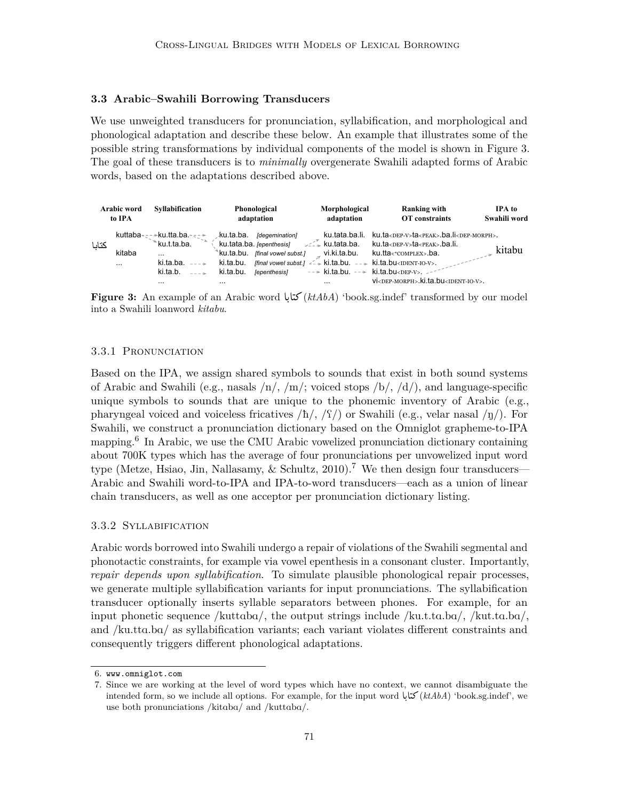# **3.3 Arabic–Swahili Borrowing Transducers**

We use unweighted transducers for pronunciation, syllabification, and morphological and phonological adaptation and describe these below. An example that illustrates some of the possible string transformations by individual components of the model is shown in Figure 3. The goal of these transducers is to *minimally* overgenerate Swahili adapted forms of Arabic words, based on the adaptations described above.

|       | Arabic word<br>to IPA | Syllabification                                                                             | Phonological<br>adaptation                                                                                      |          | Morphological<br>adaptation | <b>Ranking with</b><br>OT constraints                                                                                                                                                      | <b>IPA</b> to<br>Swahili word |
|-------|-----------------------|---------------------------------------------------------------------------------------------|-----------------------------------------------------------------------------------------------------------------|----------|-----------------------------|--------------------------------------------------------------------------------------------------------------------------------------------------------------------------------------------|-------------------------------|
| كتاىا | kuttaba-              | $\sim$ - $\star$ ku.tta.ba. $\sim$ $\sim$ $\sim$ $\sim$ $\sim$ $\sim$ $\sim$<br>ku.t.ta.ba. | ku.ta.ba. [degemination]                                                                                        |          |                             | $ku.tata.ba.Ii. \quad ku.ta PEP-V>ta PEAK&gt.ba.Ii DEP-MORPH&gt.}$<br>ku.tata.ba. [epenthesis] $\qquad \qquad \leq \qquad$ ku.tata.ba. ku.ta<br>$\leq$ ku.ta<br>explosively ku.tata.ba.li. | kitabu                        |
|       | kitaba                | $\cdots$                                                                                    | ึku.ta.bu. <i>[final vowel subst.]</i>                                                                          |          |                             | vi.ki.ta.bu. ku.tta<*complex>ba.                                                                                                                                                           |                               |
|       | $\cdots$              | ki.ta.ba. $---$                                                                             | ki.ta.bu. <i>[final vowel subst.]</i> $\leq$ $\neq$ ki.ta.bu. $\frac{1}{2}$ ki.ta.bu <ident-io-v>.</ident-io-v> |          |                             |                                                                                                                                                                                            |                               |
|       |                       | ki.ta.b.                                                                                    | ki.ta.bu.<br>[epenthesis]                                                                                       |          |                             | ---> ki.ta.bu. ---> ki.ta.bu<br>---                                                                                                                                                        |                               |
|       |                       |                                                                                             | $\cdots$                                                                                                        | $\cdots$ |                             | VI <dep-morph>. ki.ta.bu<ident-io-v>.</ident-io-v></dep-morph>                                                                                                                             |                               |

**Figure 3:** An example of an Arabic word **C** (*ktAbA*) 'book.sg.indef' transformed by our model . A j into a Swahili loanword *kitabu*.

#### 3.3.1 Pronunciation

Based on the IPA, we assign shared symbols to sounds that exist in both sound systems of Arabic and Swahili (e.g., nasals  $/n/$ ,  $/m/$ ; voiced stops  $/b/$ ,  $/d/$ ), and language-specific unique symbols to sounds that are unique to the phonemic inventory of Arabic (e.g., pharyngeal voiced and voiceless fricatives  $/h/$ ,  $\int f/$  or Swahili (e.g., velar nasal  $/\eta/$ ). For Swahili, we construct a pronunciation dictionary based on the Omniglot grapheme-to-IPA mapping.<sup>6</sup> In Arabic, we use the CMU Arabic vowelized pronunciation dictionary containing about 700K types which has the average of four pronunciations per unvowelized input word type (Metze, Hsiao, Jin, Nallasamy, & Schultz, 2010).<sup>7</sup> We then design four transducers– Arabic and Swahili word-to-IPA and IPA-to-word transducers—each as a union of linear chain transducers, as well as one acceptor per pronunciation dictionary listing.

#### 3.3.2 Syllabification

Arabic words borrowed into Swahili undergo a repair of violations of the Swahili segmental and phonotactic constraints, for example via vowel epenthesis in a consonant cluster. Importantly, *repair depends upon syllabification*. To simulate plausible phonological repair processes, we generate multiple syllabification variants for input pronunciations. The syllabification transducer optionally inserts syllable separators between phones. For example, for an input phonetic sequence /kuttaba/, the output strings include /ku.t.ta.ba/, /kut.ta.ba/, and  $\ell$ u.tta.ba $\ell$  as syllabification variants; each variant violates different constraints and consequently triggers different phonological adaptations.

<sup>6.</sup> www.omniglot.com

<sup>7.</sup> Since we are working at the level of word types which have no context, we cannot disambiguate the intended form, so we include all options. For example, for the input word AK J» (*ktAbA*) 'book.sg.indef', we . A ٦<br>.. use both pronunciations /kitaba/ and /kuttaba/.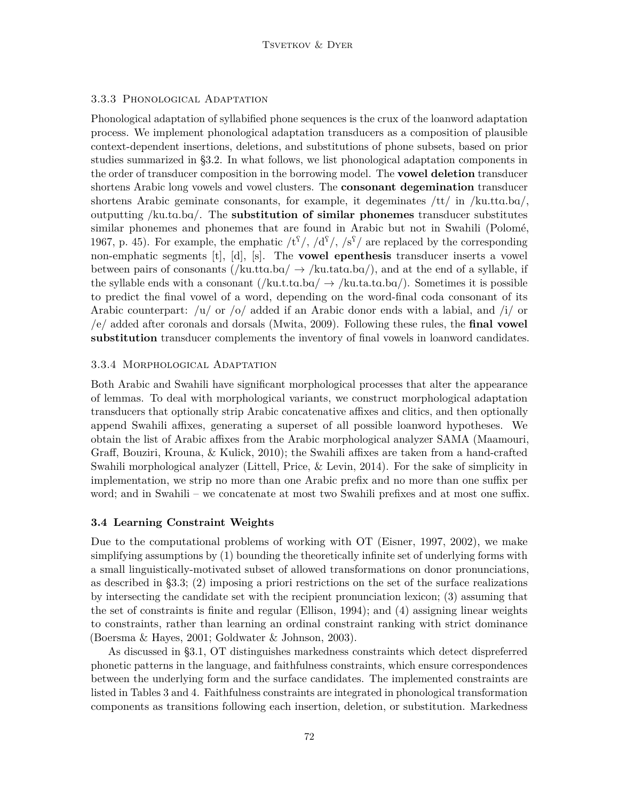# 3.3.3 Phonological Adaptation

Phonological adaptation of syllabified phone sequences is the crux of the loanword adaptation process. We implement phonological adaptation transducers as a composition of plausible context-dependent insertions, deletions, and substitutions of phone subsets, based on prior studies summarized in §3.2. In what follows, we list phonological adaptation components in the order of transducer composition in the borrowing model. The **vowel deletion** transducer shortens Arabic long vowels and vowel clusters. The **consonant degemination** transducer shortens Arabic geminate consonants, for example, it degeminates  $/tt/$  in /ku.tta.ba/, outputting /ku.ta.ba/. The **substitution of similar phonemes** transducer substitutes similar phonemes and phonemes that are found in Arabic but not in Swahili (Polomé, 1967, p. 45). For example, the emphatic  $/t^{\gamma}/\sqrt{d^{\gamma}/s^{\gamma}}$  are replaced by the corresponding non-emphatic segments [t], [d], [s]. The **vowel epenthesis** transducer inserts a vowel between pairs of consonants (/ku.tta.ba/  $\rightarrow$  /ku.tata.ba/), and at the end of a syllable, if the syllable ends with a consonant  $(\text{ku.t.} \text{ta.ba}/ \rightarrow \text{ku.t.} \text{ta.ba}).$  Sometimes it is possible to predict the final vowel of a word, depending on the word-final coda consonant of its Arabic counterpart:  $\sqrt{u}$  or  $\sqrt{o}$  added if an Arabic donor ends with a labial, and  $\sqrt{i}$  or /e/ added after coronals and dorsals (Mwita, 2009). Following these rules, the **final vowel substitution** transducer complements the inventory of final vowels in loanword candidates.

# 3.3.4 Morphological Adaptation

Both Arabic and Swahili have significant morphological processes that alter the appearance of lemmas. To deal with morphological variants, we construct morphological adaptation transducers that optionally strip Arabic concatenative affixes and clitics, and then optionally append Swahili affixes, generating a superset of all possible loanword hypotheses. We obtain the list of Arabic affixes from the Arabic morphological analyzer SAMA (Maamouri, Graff, Bouziri, Krouna, & Kulick, 2010); the Swahili affixes are taken from a hand-crafted Swahili morphological analyzer (Littell, Price, & Levin, 2014). For the sake of simplicity in implementation, we strip no more than one Arabic prefix and no more than one suffix per word; and in Swahili – we concatenate at most two Swahili prefixes and at most one suffix.

# **3.4 Learning Constraint Weights**

Due to the computational problems of working with OT (Eisner, 1997, 2002), we make simplifying assumptions by (1) bounding the theoretically infinite set of underlying forms with a small linguistically-motivated subset of allowed transformations on donor pronunciations, as described in §3.3; (2) imposing a priori restrictions on the set of the surface realizations by intersecting the candidate set with the recipient pronunciation lexicon; (3) assuming that the set of constraints is finite and regular (Ellison, 1994); and (4) assigning linear weights to constraints, rather than learning an ordinal constraint ranking with strict dominance (Boersma & Hayes, 2001; Goldwater & Johnson, 2003).

As discussed in §3.1, OT distinguishes markedness constraints which detect dispreferred phonetic patterns in the language, and faithfulness constraints, which ensure correspondences between the underlying form and the surface candidates. The implemented constraints are listed in Tables 3 and 4. Faithfulness constraints are integrated in phonological transformation components as transitions following each insertion, deletion, or substitution. Markedness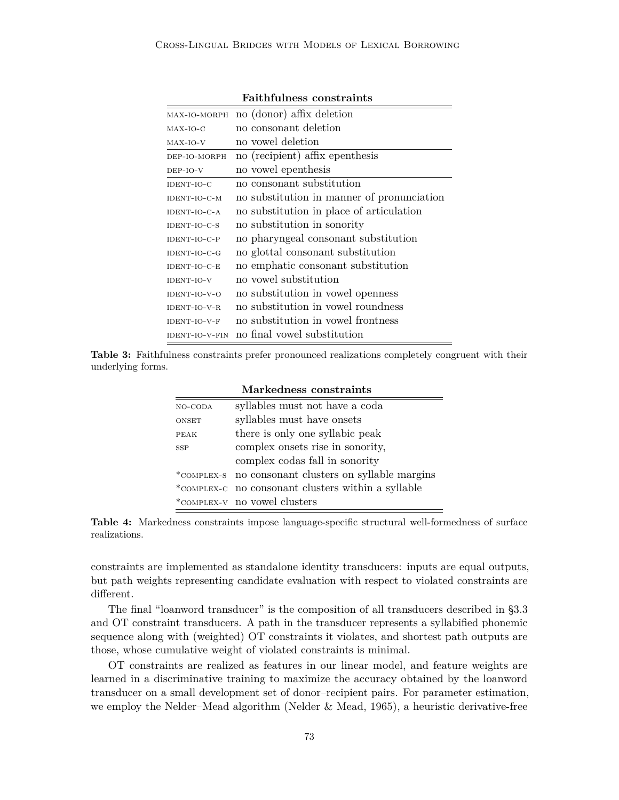| MAX-IO-MORPH          | no (donor) affix deletion                  |
|-----------------------|--------------------------------------------|
| $MAX-IO-C$            | no consonant deletion                      |
| $MAX-IO-V$            | no vowel deletion                          |
| DEP-IO-MORPH          | no (recipient) affix epenthesis            |
| $DEP-IO-V$            | no vowel epenthesis                        |
| $IDENT-IO-C$          | no consonant substitution                  |
| IDENT-IO-C-M          | no substitution in manner of pronunciation |
| IDENT-IO-C-A          | no substitution in place of articulation   |
| IDENT-IO-C-S          | no substitution in sonority                |
| IDENT-IO-C-P          | no pharyngeal consonant substitution       |
| IDENT-IO-C-G          | no glottal consonant substitution          |
| IDENT-IO-C-E          | no emphatic consonant substitution         |
| <b>IDENT-IO-V</b>     | no vowel substitution                      |
| IDENT-IO-V-O          | no substitution in vowel openness          |
| <b>IDENT-IO-V-R</b>   | no substitution in vowel roundness         |
| IDENT-IO-V-F          | no substitution in vowel frontness         |
| <b>IDENT-IO-V-FIN</b> | no final vowel substitution                |

**Faithfulness constraints**

**Table 3:** Faithfulness constraints prefer pronounced realizations completely congruent with their underlying forms.

|              | iviai keuhess-constraints                            |  |  |  |  |
|--------------|------------------------------------------------------|--|--|--|--|
| NO-CODA      | syllables must not have a coda                       |  |  |  |  |
| <b>ONSET</b> | syllables must have onsets                           |  |  |  |  |
| <b>PEAK</b>  | there is only one syllabic peak                      |  |  |  |  |
| <b>SSP</b>   | complex onsets rise in sonority,                     |  |  |  |  |
|              | complex codas fall in sonority                       |  |  |  |  |
|              | *COMPLEX-S no consonant clusters on syllable margins |  |  |  |  |
|              | *COMPLEX-C no consonant clusters within a syllable   |  |  |  |  |
|              | *COMPLEX-V no vowel clusters                         |  |  |  |  |

# **Markedness constraints**

**Table 4:** Markedness constraints impose language-specific structural well-formedness of surface realizations.

constraints are implemented as standalone identity transducers: inputs are equal outputs, but path weights representing candidate evaluation with respect to violated constraints are different.

The final "loanword transducer" is the composition of all transducers described in §3.3 and OT constraint transducers. A path in the transducer represents a syllabified phonemic sequence along with (weighted) OT constraints it violates, and shortest path outputs are those, whose cumulative weight of violated constraints is minimal.

OT constraints are realized as features in our linear model, and feature weights are learned in a discriminative training to maximize the accuracy obtained by the loanword transducer on a small development set of donor–recipient pairs. For parameter estimation, we employ the Nelder–Mead algorithm (Nelder & Mead, 1965), a heuristic derivative-free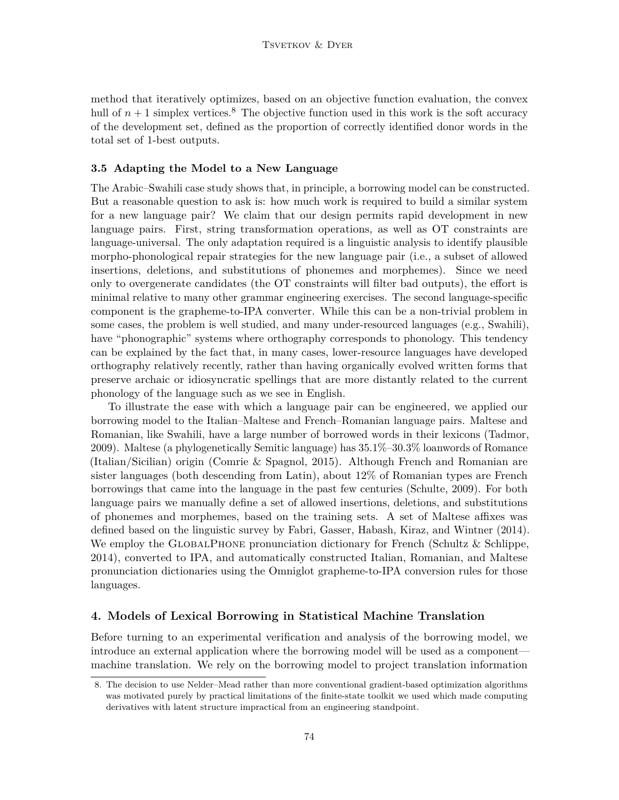method that iteratively optimizes, based on an objective function evaluation, the convex hull of  $n+1$  simplex vertices.<sup>8</sup> The objective function used in this work is the soft accuracy of the development set, defined as the proportion of correctly identified donor words in the total set of 1-best outputs.

### **3.5 Adapting the Model to a New Language**

The Arabic–Swahili case study shows that, in principle, a borrowing model can be constructed. But a reasonable question to ask is: how much work is required to build a similar system for a new language pair? We claim that our design permits rapid development in new language pairs. First, string transformation operations, as well as OT constraints are language-universal. The only adaptation required is a linguistic analysis to identify plausible morpho-phonological repair strategies for the new language pair (i.e., a subset of allowed insertions, deletions, and substitutions of phonemes and morphemes). Since we need only to overgenerate candidates (the OT constraints will filter bad outputs), the effort is minimal relative to many other grammar engineering exercises. The second language-specific component is the grapheme-to-IPA converter. While this can be a non-trivial problem in some cases, the problem is well studied, and many under-resourced languages (e.g., Swahili), have "phonographic" systems where orthography corresponds to phonology. This tendency can be explained by the fact that, in many cases, lower-resource languages have developed orthography relatively recently, rather than having organically evolved written forms that preserve archaic or idiosyncratic spellings that are more distantly related to the current phonology of the language such as we see in English.

To illustrate the ease with which a language pair can be engineered, we applied our borrowing model to the Italian–Maltese and French–Romanian language pairs. Maltese and Romanian, like Swahili, have a large number of borrowed words in their lexicons (Tadmor, 2009). Maltese (a phylogenetically Semitic language) has 35.1%–30.3% loanwords of Romance (Italian/Sicilian) origin (Comrie & Spagnol, 2015). Although French and Romanian are sister languages (both descending from Latin), about 12% of Romanian types are French borrowings that came into the language in the past few centuries (Schulte, 2009). For both language pairs we manually define a set of allowed insertions, deletions, and substitutions of phonemes and morphemes, based on the training sets. A set of Maltese affixes was defined based on the linguistic survey by Fabri, Gasser, Habash, Kiraz, and Wintner (2014). We employ the GLOBALPHONE pronunciation dictionary for French (Schultz & Schlippe, 2014), converted to IPA, and automatically constructed Italian, Romanian, and Maltese pronunciation dictionaries using the Omniglot grapheme-to-IPA conversion rules for those languages.

# **4. Models of Lexical Borrowing in Statistical Machine Translation**

Before turning to an experimental verification and analysis of the borrowing model, we introduce an external application where the borrowing model will be used as a component machine translation. We rely on the borrowing model to project translation information

<sup>8.</sup> The decision to use Nelder–Mead rather than more conventional gradient-based optimization algorithms was motivated purely by practical limitations of the finite-state toolkit we used which made computing derivatives with latent structure impractical from an engineering standpoint.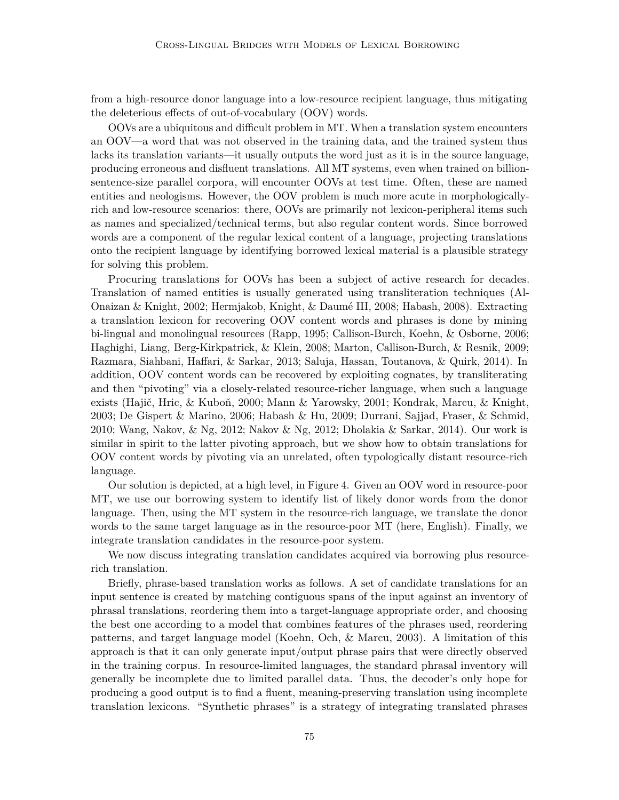from a high-resource donor language into a low-resource recipient language, thus mitigating the deleterious effects of out-of-vocabulary (OOV) words.

OOVs are a ubiquitous and difficult problem in MT. When a translation system encounters an OOV—a word that was not observed in the training data, and the trained system thus lacks its translation variants—it usually outputs the word just as it is in the source language, producing erroneous and disfluent translations. All MT systems, even when trained on billionsentence-size parallel corpora, will encounter OOVs at test time. Often, these are named entities and neologisms. However, the OOV problem is much more acute in morphologicallyrich and low-resource scenarios: there, OOVs are primarily not lexicon-peripheral items such as names and specialized/technical terms, but also regular content words. Since borrowed words are a component of the regular lexical content of a language, projecting translations onto the recipient language by identifying borrowed lexical material is a plausible strategy for solving this problem.

Procuring translations for OOVs has been a subject of active research for decades. Translation of named entities is usually generated using transliteration techniques (Al-Onaizan & Knight, 2002; Hermjakob, Knight, & Daumé III, 2008; Habash, 2008). Extracting a translation lexicon for recovering OOV content words and phrases is done by mining bi-lingual and monolingual resources (Rapp, 1995; Callison-Burch, Koehn, & Osborne, 2006; Haghighi, Liang, Berg-Kirkpatrick, & Klein, 2008; Marton, Callison-Burch, & Resnik, 2009; Razmara, Siahbani, Haffari, & Sarkar, 2013; Saluja, Hassan, Toutanova, & Quirk, 2014). In addition, OOV content words can be recovered by exploiting cognates, by transliterating and then "pivoting" via a closely-related resource-richer language, when such a language exists (Hajič, Hric, & Kuboň, 2000; Mann & Yarowsky, 2001; Kondrak, Marcu, & Knight, 2003; De Gispert & Marino, 2006; Habash & Hu, 2009; Durrani, Sajjad, Fraser, & Schmid, 2010; Wang, Nakov, & Ng, 2012; Nakov & Ng, 2012; Dholakia & Sarkar, 2014). Our work is similar in spirit to the latter pivoting approach, but we show how to obtain translations for OOV content words by pivoting via an unrelated, often typologically distant resource-rich language.

Our solution is depicted, at a high level, in Figure 4. Given an OOV word in resource-poor MT, we use our borrowing system to identify list of likely donor words from the donor language. Then, using the MT system in the resource-rich language, we translate the donor words to the same target language as in the resource-poor MT (here, English). Finally, we integrate translation candidates in the resource-poor system.

We now discuss integrating translation candidates acquired via borrowing plus resourcerich translation.

Briefly, phrase-based translation works as follows. A set of candidate translations for an input sentence is created by matching contiguous spans of the input against an inventory of phrasal translations, reordering them into a target-language appropriate order, and choosing the best one according to a model that combines features of the phrases used, reordering patterns, and target language model (Koehn, Och, & Marcu, 2003). A limitation of this approach is that it can only generate input/output phrase pairs that were directly observed in the training corpus. In resource-limited languages, the standard phrasal inventory will generally be incomplete due to limited parallel data. Thus, the decoder's only hope for producing a good output is to find a fluent, meaning-preserving translation using incomplete translation lexicons. "Synthetic phrases" is a strategy of integrating translated phrases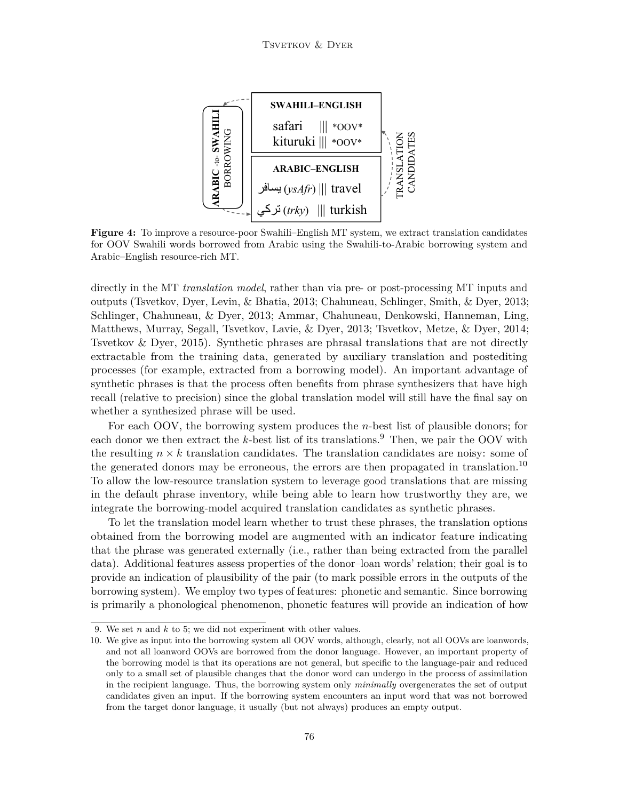

**Figure 4:** To improve a resource-poor Swahili–English MT system, we extract translation candidates for OOV Swahili words borrowed from Arabic using the Swahili-to-Arabic borrowing system and Arabic–English resource-rich MT.

directly in the MT *translation model*, rather than via pre- or post-processing MT inputs and outputs (Tsvetkov, Dyer, Levin, & Bhatia, 2013; Chahuneau, Schlinger, Smith, & Dyer, 2013; Schlinger, Chahuneau, & Dyer, 2013; Ammar, Chahuneau, Denkowski, Hanneman, Ling, Matthews, Murray, Segall, Tsvetkov, Lavie, & Dyer, 2013; Tsvetkov, Metze, & Dyer, 2014; Tsvetkov & Dyer, 2015). Synthetic phrases are phrasal translations that are not directly extractable from the training data, generated by auxiliary translation and postediting processes (for example, extracted from a borrowing model). An important advantage of synthetic phrases is that the process often benefits from phrase synthesizers that have high recall (relative to precision) since the global translation model will still have the final say on whether a synthesized phrase will be used.

For each OOV, the borrowing system produces the *n*-best list of plausible donors; for each donor we then extract the  $k$ -best list of its translations.<sup>9</sup> Then, we pair the OOV with the resulting  $n \times k$  translation candidates. The translation candidates are noisy: some of the generated donors may be erroneous, the errors are then propagated in translation.<sup>10</sup> To allow the low-resource translation system to leverage good translations that are missing in the default phrase inventory, while being able to learn how trustworthy they are, we integrate the borrowing-model acquired translation candidates as synthetic phrases.

To let the translation model learn whether to trust these phrases, the translation options obtained from the borrowing model are augmented with an indicator feature indicating that the phrase was generated externally (i.e., rather than being extracted from the parallel data). Additional features assess properties of the donor–loan words' relation; their goal is to provide an indication of plausibility of the pair (to mark possible errors in the outputs of the borrowing system). We employ two types of features: phonetic and semantic. Since borrowing is primarily a phonological phenomenon, phonetic features will provide an indication of how

<sup>9.</sup> We set *n* and *k* to 5; we did not experiment with other values.

<sup>10.</sup> We give as input into the borrowing system all OOV words, although, clearly, not all OOVs are loanwords, and not all loanword OOVs are borrowed from the donor language. However, an important property of the borrowing model is that its operations are not general, but specific to the language-pair and reduced only to a small set of plausible changes that the donor word can undergo in the process of assimilation in the recipient language. Thus, the borrowing system only *minimally* overgenerates the set of output candidates given an input. If the borrowing system encounters an input word that was not borrowed from the target donor language, it usually (but not always) produces an empty output.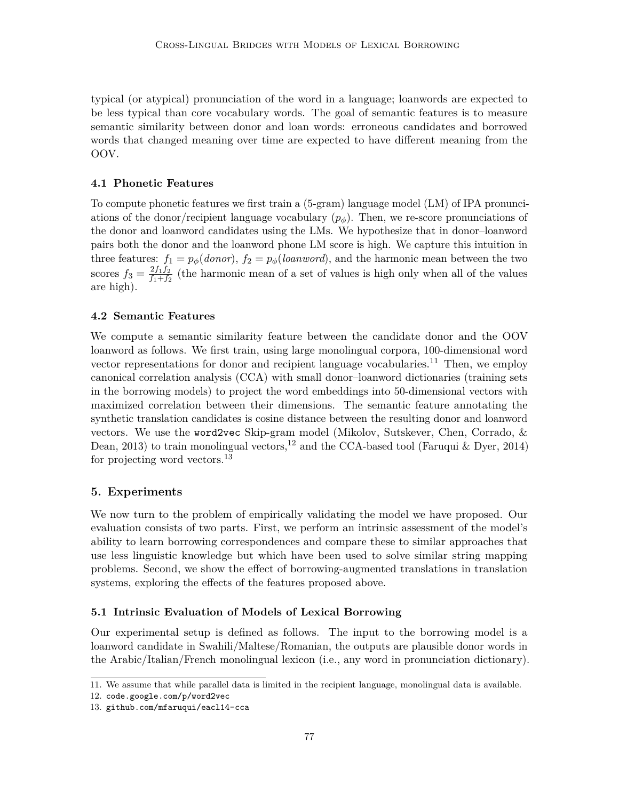typical (or atypical) pronunciation of the word in a language; loanwords are expected to be less typical than core vocabulary words. The goal of semantic features is to measure semantic similarity between donor and loan words: erroneous candidates and borrowed words that changed meaning over time are expected to have different meaning from the OOV.

### **4.1 Phonetic Features**

To compute phonetic features we first train a (5-gram) language model (LM) of IPA pronunciations of the donor/recipient language vocabulary  $(p<sub>\phi</sub>)$ . Then, we re-score pronunciations of the donor and loanword candidates using the LMs. We hypothesize that in donor–loanword pairs both the donor and the loanword phone LM score is high. We capture this intuition in three features:  $f_1 = p_\phi(donor)$ ,  $f_2 = p_\phi(loanword)$ , and the harmonic mean between the two scores  $f_3 = \frac{2f_1f_2}{f_1+f_2}$  $\frac{2f_1f_2}{f_1+f_2}$  (the harmonic mean of a set of values is high only when all of the values are high).

### **4.2 Semantic Features**

We compute a semantic similarity feature between the candidate donor and the OOV loanword as follows. We first train, using large monolingual corpora, 100-dimensional word vector representations for donor and recipient language vocabularies.<sup>11</sup> Then, we employ canonical correlation analysis (CCA) with small donor–loanword dictionaries (training sets in the borrowing models) to project the word embeddings into 50-dimensional vectors with maximized correlation between their dimensions. The semantic feature annotating the synthetic translation candidates is cosine distance between the resulting donor and loanword vectors. We use the word2vec Skip-gram model (Mikolov, Sutskever, Chen, Corrado, & Dean, 2013) to train monolingual vectors,<sup>12</sup> and the CCA-based tool (Faruqui & Dyer, 2014) for projecting word vectors.<sup>13</sup>

### **5. Experiments**

We now turn to the problem of empirically validating the model we have proposed. Our evaluation consists of two parts. First, we perform an intrinsic assessment of the model's ability to learn borrowing correspondences and compare these to similar approaches that use less linguistic knowledge but which have been used to solve similar string mapping problems. Second, we show the effect of borrowing-augmented translations in translation systems, exploring the effects of the features proposed above.

### **5.1 Intrinsic Evaluation of Models of Lexical Borrowing**

Our experimental setup is defined as follows. The input to the borrowing model is a loanword candidate in Swahili/Maltese/Romanian, the outputs are plausible donor words in the Arabic/Italian/French monolingual lexicon (i.e., any word in pronunciation dictionary).

<sup>11.</sup> We assume that while parallel data is limited in the recipient language, monolingual data is available.

<sup>12.</sup> code.google.com/p/word2vec

<sup>13.</sup> github.com/mfaruqui/eacl14-cca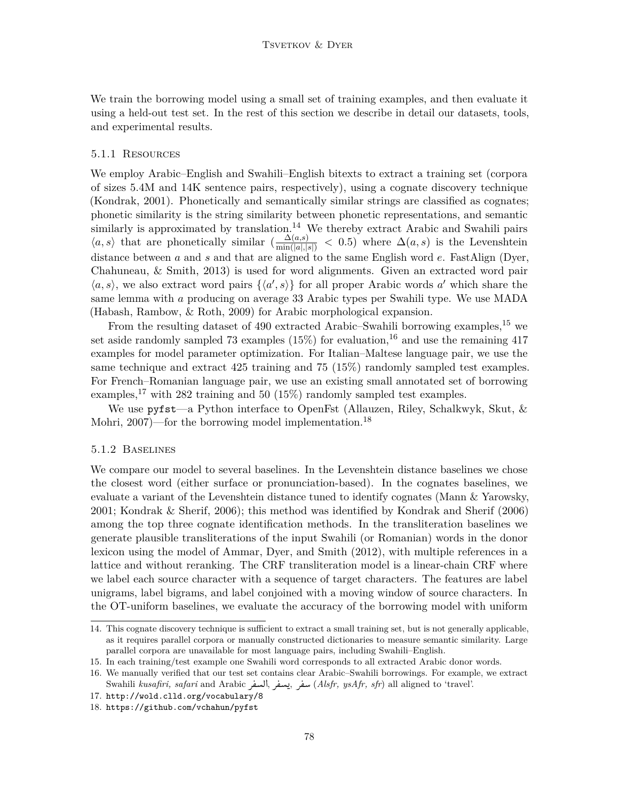We train the borrowing model using a small set of training examples, and then evaluate it using a held-out test set. In the rest of this section we describe in detail our datasets, tools, and experimental results.

#### 5.1.1 Resources

We employ Arabic–English and Swahili–English bitexts to extract a training set (corpora of sizes 5.4M and 14K sentence pairs, respectively), using a cognate discovery technique (Kondrak, 2001). Phonetically and semantically similar strings are classified as cognates; phonetic similarity is the string similarity between phonetic representations, and semantic similarly is approximated by translation.<sup>14</sup> We thereby extract Arabic and Swahili pairs  $\langle a, s \rangle$  that are phonetically similar  $\left( \frac{\Delta(a,s)}{\min(|a|,|s|)} \right)$  < 0.5) where  $\Delta(a,s)$  is the Levenshtein distance between *a* and *s* and that are aligned to the same English word *e*. FastAlign (Dyer, Chahuneau, & Smith, 2013) is used for word alignments. Given an extracted word pair  $\langle a, s \rangle$ , we also extract word pairs  $\{\langle a', s \rangle\}$  for all proper Arabic words *a*' which share the same lemma with *a* producing on average 33 Arabic types per Swahili type. We use MADA (Habash, Rambow, & Roth, 2009) for Arabic morphological expansion.

From the resulting dataset of 490 extracted Arabic–Swahili borrowing examples,  $^{15}$  we set aside randomly sampled 73 examples (15%) for evaluation,  $^{16}$  and use the remaining 417 examples for model parameter optimization. For Italian–Maltese language pair, we use the same technique and extract 425 training and 75 (15%) randomly sampled test examples. For French–Romanian language pair, we use an existing small annotated set of borrowing examples,<sup>17</sup> with 282 training and 50 (15%) randomly sampled test examples.

We use pyfst—a Python interface to OpenFst (Allauzen, Riley, Schalkwyk, Skut,  $\&$ Mohri, 2007)—for the borrowing model implementation.<sup>18</sup>

#### 5.1.2 Baselines

We compare our model to several baselines. In the Levenshtein distance baselines we chose the closest word (either surface or pronunciation-based). In the cognates baselines, we evaluate a variant of the Levenshtein distance tuned to identify cognates (Mann & Yarowsky, 2001; Kondrak & Sherif, 2006); this method was identified by Kondrak and Sherif (2006) among the top three cognate identification methods. In the transliteration baselines we generate plausible transliterations of the input Swahili (or Romanian) words in the donor lexicon using the model of Ammar, Dyer, and Smith (2012), with multiple references in a lattice and without reranking. The CRF transliteration model is a linear-chain CRF where we label each source character with a sequence of target characters. The features are label unigrams, label bigrams, and label conjoined with a moving window of source characters. In the OT-uniform baselines, we evaluate the accuracy of the borrowing model with uniform

<sup>14.</sup> This cognate discovery technique is sufficient to extract a small training set, but is not generally applicable, as it requires parallel corpora or manually constructed dictionaries to measure semantic similarity. Large parallel corpora are unavailable for most language pairs, including Swahili–English.

<sup>15.</sup> In each training/test example one Swahili word corresponds to all extracted Arabic donor words.

<sup>16.</sup> We manually verified that our test set contains clear Arabic–Swahili borrowings. For example, we extract Swahili *kusafiri, safari* and Arabic Q ®Ë@, Q ® , Q ® (*Alsfr, ysAfr, sfr*) all aligned to 'travel'. ֦֦֦֧֦֧֦֧֦֧֦֦֦֧֦֧֦֧֦֧֦֧֦֧֦֧֦֦֦֧֦֧֦֧֦֡֝֝֝֝֝ :<br>: <u>ر</u> l<br>.

<sup>17.</sup> http://wold.clld.org/vocabulary/8

<sup>18.</sup> https://github.com/vchahun/pyfst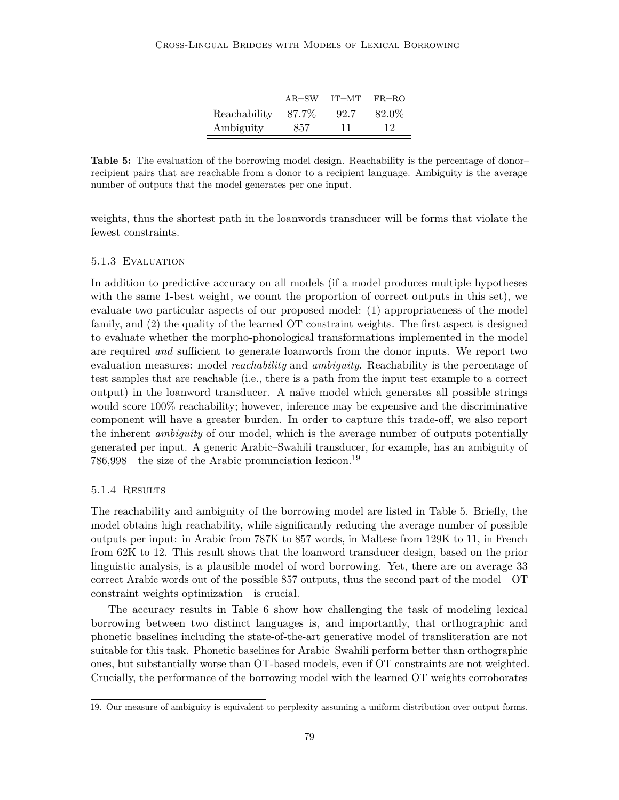|              | $AR-SW$ | IT-MT | FR–RO |
|--------------|---------|-------|-------|
| Reachability | 87.7%   | 92.7  | 82.0% |
| Ambiguity    | 857     | 11    | 12    |

Table 5: The evaluation of the borrowing model design. Reachability is the percentage of donor– recipient pairs that are reachable from a donor to a recipient language. Ambiguity is the average number of outputs that the model generates per one input.

weights, thus the shortest path in the loanwords transducer will be forms that violate the fewest constraints.

### 5.1.3 Evaluation

In addition to predictive accuracy on all models (if a model produces multiple hypotheses with the same 1-best weight, we count the proportion of correct outputs in this set), we evaluate two particular aspects of our proposed model: (1) appropriateness of the model family, and (2) the quality of the learned OT constraint weights. The first aspect is designed to evaluate whether the morpho-phonological transformations implemented in the model are required *and* sufficient to generate loanwords from the donor inputs. We report two evaluation measures: model *reachability* and *ambiguity*. Reachability is the percentage of test samples that are reachable (i.e., there is a path from the input test example to a correct output) in the loanword transducer. A naïve model which generates all possible strings would score 100% reachability; however, inference may be expensive and the discriminative component will have a greater burden. In order to capture this trade-off, we also report the inherent *ambiguity* of our model, which is the average number of outputs potentially generated per input. A generic Arabic–Swahili transducer, for example, has an ambiguity of 786,998—the size of the Arabic pronunciation lexicon.<sup>19</sup>

### 5.1.4 Results

The reachability and ambiguity of the borrowing model are listed in Table 5. Briefly, the model obtains high reachability, while significantly reducing the average number of possible outputs per input: in Arabic from 787K to 857 words, in Maltese from 129K to 11, in French from 62K to 12. This result shows that the loanword transducer design, based on the prior linguistic analysis, is a plausible model of word borrowing. Yet, there are on average 33 correct Arabic words out of the possible 857 outputs, thus the second part of the model—OT constraint weights optimization—is crucial.

The accuracy results in Table 6 show how challenging the task of modeling lexical borrowing between two distinct languages is, and importantly, that orthographic and phonetic baselines including the state-of-the-art generative model of transliteration are not suitable for this task. Phonetic baselines for Arabic–Swahili perform better than orthographic ones, but substantially worse than OT-based models, even if OT constraints are not weighted. Crucially, the performance of the borrowing model with the learned OT weights corroborates

<sup>19.</sup> Our measure of ambiguity is equivalent to perplexity assuming a uniform distribution over output forms.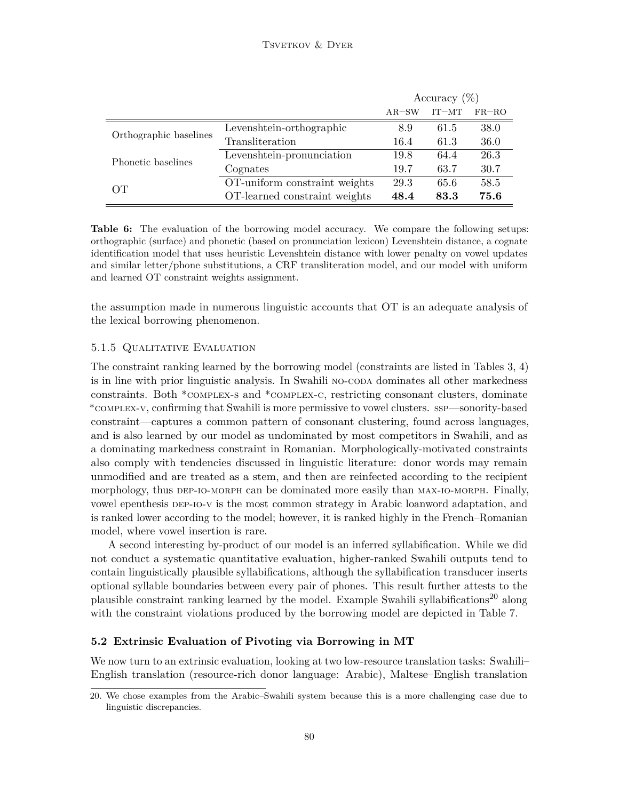### TSVETKOV & DYER

|                        |                               | Accuracy $(\%)$ |         |         |
|------------------------|-------------------------------|-----------------|---------|---------|
|                        |                               | $AR-SW$         | $IT-MT$ | $FR-RO$ |
| Orthographic baselines | Levenshtein-orthographic      | 8.9             | 61.5    | 38.0    |
|                        | Transliteration               | 16.4            | 61.3    | 36.0    |
| Phonetic baselines     | Levenshtein-pronunciation     | 19.8            | 64.4    | 26.3    |
|                        | Cognates                      | 19.7            | 63.7    | 30.7    |
| OТ                     | OT-uniform constraint weights | 29.3            | 65.6    | 58.5    |
|                        | OT-learned constraint weights | 48.4            | 83.3    | 75.6    |

**Table 6:** The evaluation of the borrowing model accuracy. We compare the following setups: orthographic (surface) and phonetic (based on pronunciation lexicon) Levenshtein distance, a cognate identification model that uses heuristic Levenshtein distance with lower penalty on vowel updates and similar letter/phone substitutions, a CRF transliteration model, and our model with uniform and learned OT constraint weights assignment.

the assumption made in numerous linguistic accounts that OT is an adequate analysis of the lexical borrowing phenomenon.

# 5.1.5 Qualitative Evaluation

The constraint ranking learned by the borrowing model (constraints are listed in Tables 3, 4) is in line with prior linguistic analysis. In Swahili no-coda dominates all other markedness constraints. Both \*complex-s and \*complex-c, restricting consonant clusters, dominate \*complex-v, confirming that Swahili is more permissive to vowel clusters. ssp—sonority-based constraint—captures a common pattern of consonant clustering, found across languages, and is also learned by our model as undominated by most competitors in Swahili, and as a dominating markedness constraint in Romanian. Morphologically-motivated constraints also comply with tendencies discussed in linguistic literature: donor words may remain unmodified and are treated as a stem, and then are reinfected according to the recipient morphology, thus DEP-IO-MORPH can be dominated more easily than MAX-IO-MORPH. Finally, vowel epenthesis dep-io-v is the most common strategy in Arabic loanword adaptation, and is ranked lower according to the model; however, it is ranked highly in the French–Romanian model, where vowel insertion is rare.

A second interesting by-product of our model is an inferred syllabification. While we did not conduct a systematic quantitative evaluation, higher-ranked Swahili outputs tend to contain linguistically plausible syllabifications, although the syllabification transducer inserts optional syllable boundaries between every pair of phones. This result further attests to the plausible constraint ranking learned by the model. Example Swahili syllabifications<sup>20</sup> along with the constraint violations produced by the borrowing model are depicted in Table 7.

### **5.2 Extrinsic Evaluation of Pivoting via Borrowing in MT**

We now turn to an extrinsic evaluation, looking at two low-resource translation tasks: Swahili– English translation (resource-rich donor language: Arabic), Maltese–English translation

<sup>20.</sup> We chose examples from the Arabic–Swahili system because this is a more challenging case due to linguistic discrepancies.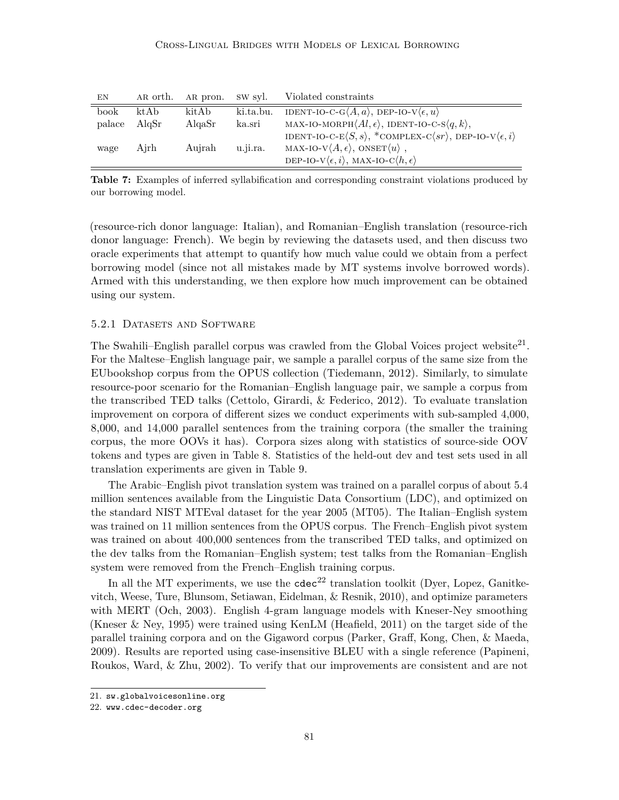| ΕN     | AR orth. | AR pron. | SW syl.   | Violated constraints                                                                                           |
|--------|----------|----------|-----------|----------------------------------------------------------------------------------------------------------------|
| book   | ktAb     | kitAb    | ki.ta.bu. | IDENT-IO-C-G $\langle A, a \rangle$ , DEP-IO-V $\langle \epsilon, u \rangle$                                   |
| palace | AlqSr    | AlgaSr   | ka.sri    | MAX-IO-MORPH $\langle A l, \epsilon \rangle$ , IDENT-IO-C-S $\langle q, k \rangle$ ,                           |
|        |          |          |           | IDENT-IO-C-E $\langle S, s \rangle$ , *COMPLEX-C $\langle sr \rangle$ , DEP-IO-V $\langle \epsilon, i \rangle$ |
| wage   | Airh     | Aujrah   | u.ji.ra.  | MAX-IO-V $\langle A, \epsilon \rangle$ , ONSET $\langle u \rangle$ ,                                           |
|        |          |          |           | DEP-IO-V $\langle \epsilon, i \rangle$ , MAX-IO-C $\langle h, \epsilon \rangle$                                |

**Table 7:** Examples of inferred syllabification and corresponding constraint violations produced by our borrowing model.

(resource-rich donor language: Italian), and Romanian–English translation (resource-rich donor language: French). We begin by reviewing the datasets used, and then discuss two oracle experiments that attempt to quantify how much value could we obtain from a perfect borrowing model (since not all mistakes made by MT systems involve borrowed words). Armed with this understanding, we then explore how much improvement can be obtained using our system.

#### 5.2.1 Datasets and Software

The Swahili–English parallel corpus was crawled from the Global Voices project website<sup>21</sup>. For the Maltese–English language pair, we sample a parallel corpus of the same size from the EUbookshop corpus from the OPUS collection (Tiedemann, 2012). Similarly, to simulate resource-poor scenario for the Romanian–English language pair, we sample a corpus from the transcribed TED talks (Cettolo, Girardi, & Federico, 2012). To evaluate translation improvement on corpora of different sizes we conduct experiments with sub-sampled 4,000, 8,000, and 14,000 parallel sentences from the training corpora (the smaller the training corpus, the more OOVs it has). Corpora sizes along with statistics of source-side OOV tokens and types are given in Table 8. Statistics of the held-out dev and test sets used in all translation experiments are given in Table 9.

The Arabic–English pivot translation system was trained on a parallel corpus of about 5.4 million sentences available from the Linguistic Data Consortium (LDC), and optimized on the standard NIST MTEval dataset for the year 2005 (MT05). The Italian–English system was trained on 11 million sentences from the OPUS corpus. The French–English pivot system was trained on about 400,000 sentences from the transcribed TED talks, and optimized on the dev talks from the Romanian–English system; test talks from the Romanian–English system were removed from the French–English training corpus.

In all the MT experiments, we use the  $\csc^{22}$  translation toolkit (Dyer, Lopez, Ganitkevitch, Weese, Ture, Blunsom, Setiawan, Eidelman, & Resnik, 2010), and optimize parameters with MERT (Och, 2003). English 4-gram language models with Kneser-Ney smoothing (Kneser & Ney, 1995) were trained using KenLM (Heafield, 2011) on the target side of the parallel training corpora and on the Gigaword corpus (Parker, Graff, Kong, Chen, & Maeda, 2009). Results are reported using case-insensitive BLEU with a single reference (Papineni, Roukos, Ward, & Zhu, 2002). To verify that our improvements are consistent and are not

<sup>21.</sup> sw.globalvoicesonline.org

<sup>22.</sup> www.cdec-decoder.org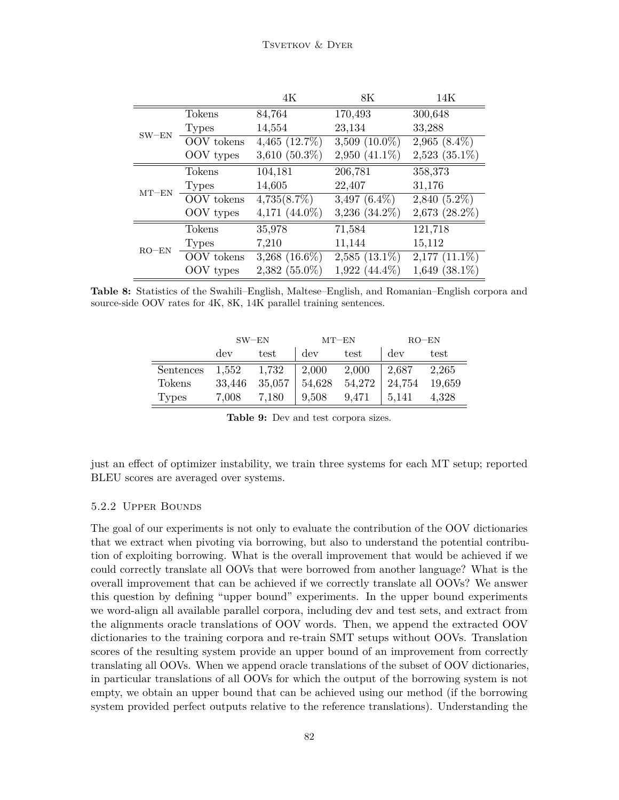|             |               | 4K               | 8K                 | 14K                |
|-------------|---------------|------------------|--------------------|--------------------|
|             | Tokens        | 84,764           | 170,493            | 300,648            |
| $SW$ – $EN$ | <b>Types</b>  | 14,554           | 23,134             | 33,288             |
|             | OOV tokens    | 4,465 $(12.7\%)$ | 3,509 $(10.0\%)$   | $2,965(8.4\%)$     |
|             | OOV types     | 3,610 $(50.3\%)$ | $2,950(41.1\%)$    | $2,523$ $(35.1\%)$ |
|             | Tokens        | 104,181          | 206,781            | 358,373            |
| $MT$ – $EN$ | <b>Types</b>  | 14,605           | 22,407             | 31,176             |
|             | OOV tokens    | $4,735(8.7\%)$   | 3,497 $(6.4\%)$    | $2,840(5.2\%)$     |
|             | OOV types     | 4,171 $(44.0\%)$ | 3,236 $(34.2\%)$   | 2,673 (28.2%)      |
|             | <b>Tokens</b> | 35,978           | 71,584             | 121,718            |
| $RO-EN$     | <b>Types</b>  | 7,210            | 11,144             | 15,112             |
|             | OOV tokens    | 3,268 $(16.6\%)$ | $2,585$ $(13.1\%)$ | $2,177$ $(11.1\%)$ |
|             | OOV types     | $2,382(55.0\%)$  | $1,922$ $(44.4\%)$ | 1,649 (38.1%)      |

**Table 8:** Statistics of the Swahili–English, Maltese–English, and Romanian–English corpora and source-side OOV rates for 4K, 8K, 14K parallel training sentences.

|              | $SW-FN$ |        | $MT-EN$ |        | $RO-EN$ |        |
|--------------|---------|--------|---------|--------|---------|--------|
|              | dev     | test   | dev     | test   | dev     | test   |
| Sentences    | 1,552   | 1,732  | 2,000   | 2,000  | 2,687   | 2,265  |
| Tokens       | 33,446  | 35,057 | 54,628  | 54,272 | 24,754  | 19,659 |
| <b>Types</b> | 7,008   | 7.180  | 9,508   | 9,471  | 5,141   | 4,328  |

**Table 9:** Dev and test corpora sizes.

just an effect of optimizer instability, we train three systems for each MT setup; reported BLEU scores are averaged over systems.

### 5.2.2 Upper Bounds

The goal of our experiments is not only to evaluate the contribution of the OOV dictionaries that we extract when pivoting via borrowing, but also to understand the potential contribution of exploiting borrowing. What is the overall improvement that would be achieved if we could correctly translate all OOVs that were borrowed from another language? What is the overall improvement that can be achieved if we correctly translate all OOVs? We answer this question by defining "upper bound" experiments. In the upper bound experiments we word-align all available parallel corpora, including dev and test sets, and extract from the alignments oracle translations of OOV words. Then, we append the extracted OOV dictionaries to the training corpora and re-train SMT setups without OOVs. Translation scores of the resulting system provide an upper bound of an improvement from correctly translating all OOVs. When we append oracle translations of the subset of OOV dictionaries, in particular translations of all OOVs for which the output of the borrowing system is not empty, we obtain an upper bound that can be achieved using our method (if the borrowing system provided perfect outputs relative to the reference translations). Understanding the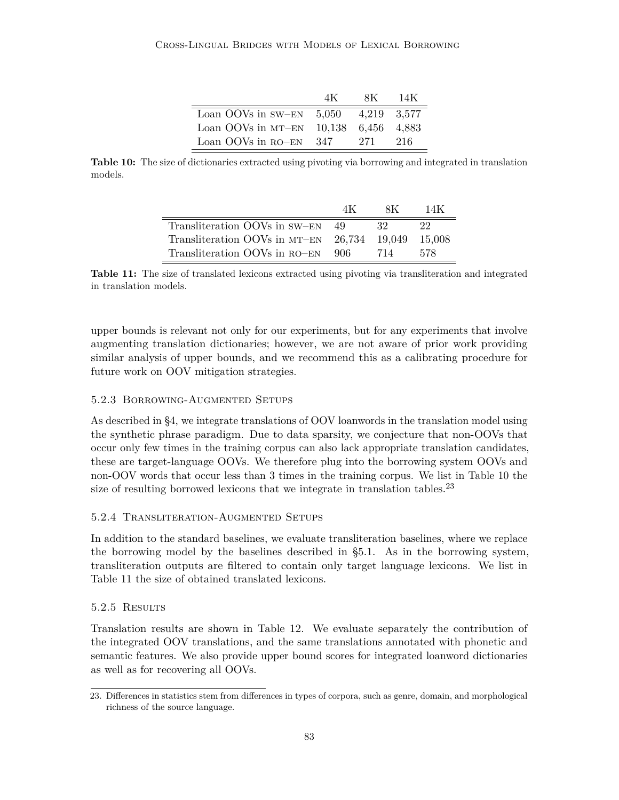|                                         | 4K - | 8K. | 14K |
|-----------------------------------------|------|-----|-----|
| Loan OOVs in SW-EN $5,050$ 4,219 3,577  |      |     |     |
| Loan OOVs in MT-EN $10,138$ 6,456 4,883 |      |     |     |
| Loan OOVs in RO-EN                      | 347  | 271 | 216 |

**Table 10:** The size of dictionaries extracted using pivoting via borrowing and integrated in translation models.

|                                               | 4K   | 8K. | 14K    |
|-----------------------------------------------|------|-----|--------|
| Transliteration OOVs in SW-EN 49              |      | 32  | 22     |
| Transliteration OOVs in $MT-EN$ 26,734 19,049 |      |     | 15.008 |
| Transliteration OOVs in RO-EN                 | -906 | 714 | 578    |

**Table 11:** The size of translated lexicons extracted using pivoting via transliteration and integrated in translation models.

upper bounds is relevant not only for our experiments, but for any experiments that involve augmenting translation dictionaries; however, we are not aware of prior work providing similar analysis of upper bounds, and we recommend this as a calibrating procedure for future work on OOV mitigation strategies.

# 5.2.3 Borrowing-Augmented Setups

As described in §4, we integrate translations of OOV loanwords in the translation model using the synthetic phrase paradigm. Due to data sparsity, we conjecture that non-OOVs that occur only few times in the training corpus can also lack appropriate translation candidates, these are target-language OOVs. We therefore plug into the borrowing system OOVs and non-OOV words that occur less than 3 times in the training corpus. We list in Table 10 the size of resulting borrowed lexicons that we integrate in translation tables.<sup>23</sup>

# 5.2.4 Transliteration-Augmented Setups

In addition to the standard baselines, we evaluate transliteration baselines, where we replace the borrowing model by the baselines described in §5.1. As in the borrowing system, transliteration outputs are filtered to contain only target language lexicons. We list in Table 11 the size of obtained translated lexicons.

# 5.2.5 Results

Translation results are shown in Table 12. We evaluate separately the contribution of the integrated OOV translations, and the same translations annotated with phonetic and semantic features. We also provide upper bound scores for integrated loanword dictionaries as well as for recovering all OOVs.

<sup>23.</sup> Differences in statistics stem from differences in types of corpora, such as genre, domain, and morphological richness of the source language.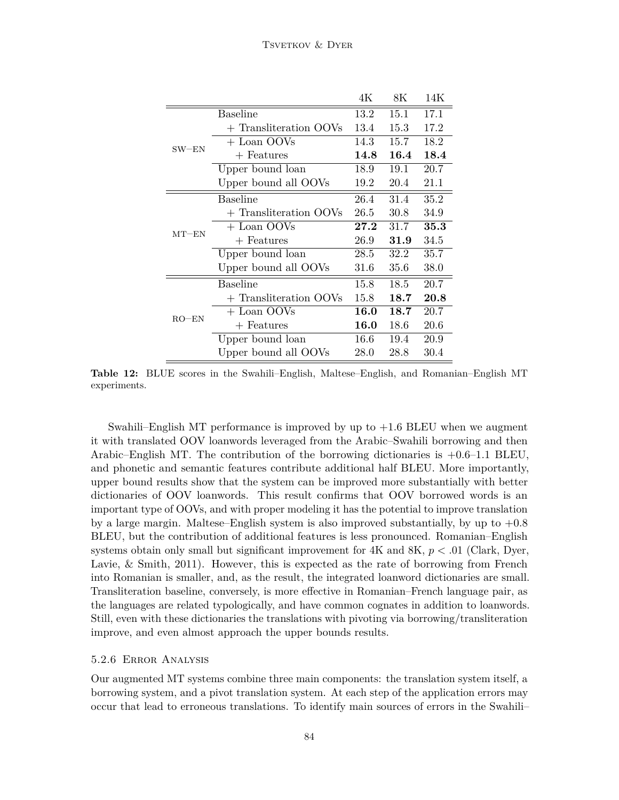|         |                        | 4К   | 8К       | 14K  |
|---------|------------------------|------|----------|------|
| $SW-FN$ | Baseline               | 13.2 | 15.1     | 17.1 |
|         | + Transliteration OOVs | 13.4 | 15.3     | 17.2 |
|         | + Loan OOVs            | 14.3 | 15.7     | 18.2 |
|         | $+$ Features           | 14.8 | 16.4     | 18.4 |
|         | Upper bound loan       | 18.9 | 19.1     | 20.7 |
|         | Upper bound all OOVs   | 19.2 | 20.4     | 21.1 |
| $MT-EN$ | <b>Baseline</b>        | 26.4 | 31.4     | 35.2 |
|         | + Transliteration OOVs | 26.5 | 30.8     | 34.9 |
|         | + Loan OOVs            | 27.2 | 31.7     | 35.3 |
|         | $+$ Features           | 26.9 | 31.9     | 34.5 |
|         | Upper bound loan       | 28.5 | 32.2     | 35.7 |
|         | Upper bound all OOVs   | 31.6 | $35.6\,$ | 38.0 |
| $RO-EN$ | Baseline               | 15.8 | 18.5     | 20.7 |
|         | + Transliteration OOVs | 15.8 | 18.7     | 20.8 |
|         | + Loan OOVs            | 16.0 | 18.7     | 20.7 |
|         | $+$ Features           | 16.0 | 18.6     | 20.6 |
|         | Upper bound loan       | 16.6 | 19.4     | 20.9 |
|         | Upper bound all OOVs   | 28.0 | 28.8     | 30.4 |

**Table 12:** BLUE scores in the Swahili–English, Maltese–English, and Romanian–English MT experiments.

Swahili–English MT performance is improved by up to +1*.*6 BLEU when we augment it with translated OOV loanwords leveraged from the Arabic–Swahili borrowing and then Arabic–English MT. The contribution of the borrowing dictionaries is +0*.*6–1*.*1 BLEU, and phonetic and semantic features contribute additional half BLEU. More importantly, upper bound results show that the system can be improved more substantially with better dictionaries of OOV loanwords. This result confirms that OOV borrowed words is an important type of OOVs, and with proper modeling it has the potential to improve translation by a large margin. Maltese–English system is also improved substantially, by up to +0*.*8 BLEU, but the contribution of additional features is less pronounced. Romanian–English systems obtain only small but significant improvement for 4K and 8K, *p < .*01 (Clark, Dyer, Lavie, & Smith, 2011). However, this is expected as the rate of borrowing from French into Romanian is smaller, and, as the result, the integrated loanword dictionaries are small. Transliteration baseline, conversely, is more effective in Romanian–French language pair, as the languages are related typologically, and have common cognates in addition to loanwords. Still, even with these dictionaries the translations with pivoting via borrowing/transliteration improve, and even almost approach the upper bounds results.

#### 5.2.6 Error Analysis

Our augmented MT systems combine three main components: the translation system itself, a borrowing system, and a pivot translation system. At each step of the application errors may occur that lead to erroneous translations. To identify main sources of errors in the Swahili–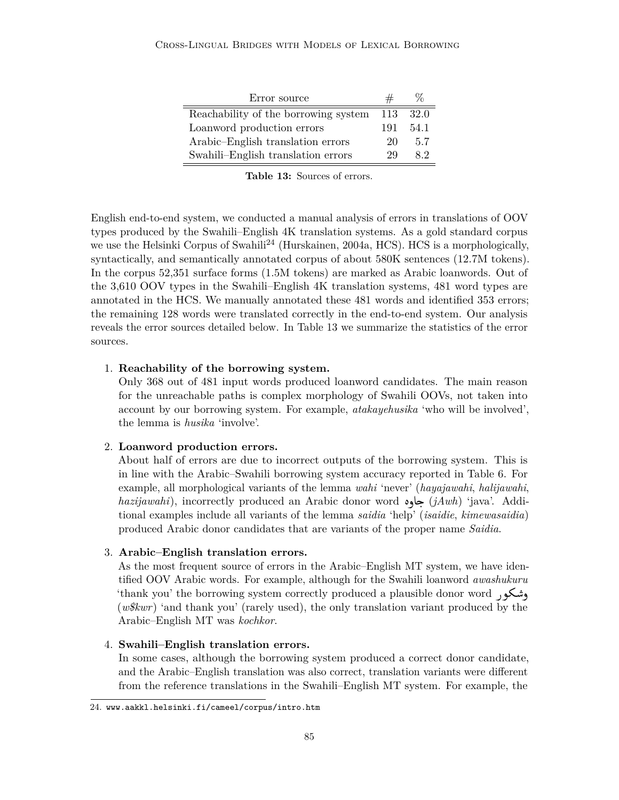| Error source                         |     |      |
|--------------------------------------|-----|------|
| Reachability of the borrowing system | 113 | 32.0 |
| Loanword production errors           | 191 | 54.1 |
| Arabic–English translation errors    | 20  | 5.7  |
| Swahili-English translation errors   | 29  | 82   |

**Table 13:** Sources of errors.

English end-to-end system, we conducted a manual analysis of errors in translations of OOV types produced by the Swahili–English 4K translation systems. As a gold standard corpus we use the Helsinki Corpus of Swahili<sup>24</sup> (Hurskainen, 2004a, HCS). HCS is a morphologically, syntactically, and semantically annotated corpus of about 580K sentences (12.7M tokens). In the corpus 52,351 surface forms (1.5M tokens) are marked as Arabic loanwords. Out of the 3,610 OOV types in the Swahili–English 4K translation systems, 481 word types are annotated in the HCS. We manually annotated these 481 words and identified 353 errors; the remaining 128 words were translated correctly in the end-to-end system. Our analysis reveals the error sources detailed below. In Table 13 we summarize the statistics of the error sources.

# 1. **Reachability of the borrowing system.**

Only 368 out of 481 input words produced loanword candidates. The main reason for the unreachable paths is complex morphology of Swahili OOVs, not taken into account by our borrowing system. For example, *atakayehusika* 'who will be involved', the lemma is *husika* 'involve'.

### 2. **Loanword production errors.**

þ,

About half of errors are due to incorrect outputs of the borrowing system. This is in line with the Arabic–Swahili borrowing system accuracy reported in Table 6. For example, all morphological variants of the lemma *wahi* 'never' (*hayajawahi*, *halijawahi*, kalippe, an inorphological variants of the femma want hever (*hagajawahi*, *haitjawahi*), incorrectly produced an Arabic donor word جاوه (*jAwh*) 'java'. Additional examples include all variants of the lemma *saidia* 'help' (*isaidie*, *kimewasaidia*) produced Arabic donor candidates that are variants of the proper name *Saidia*.

# 3. **Arabic–English translation errors.**

As the most frequent source of errors in the Arabic–English MT system, we have identified OOV Arabic words. For example, although for the Swahili loanword *awashukuru* 'thank you' the borrowing system correctly produced a plausible donor word وشكور (*w\$kwr*) 'and thank you' (rarely used), the only translation variant produced by the Arabic–English MT was *kochkor*.

### 4. **Swahili–English translation errors.**

In some cases, although the borrowing system produced a correct donor candidate, and the Arabic–English translation was also correct, translation variants were different from the reference translations in the Swahili–English MT system. For example, the

<sup>24.</sup> www.aakkl.helsinki.fi/cameel/corpus/intro.htm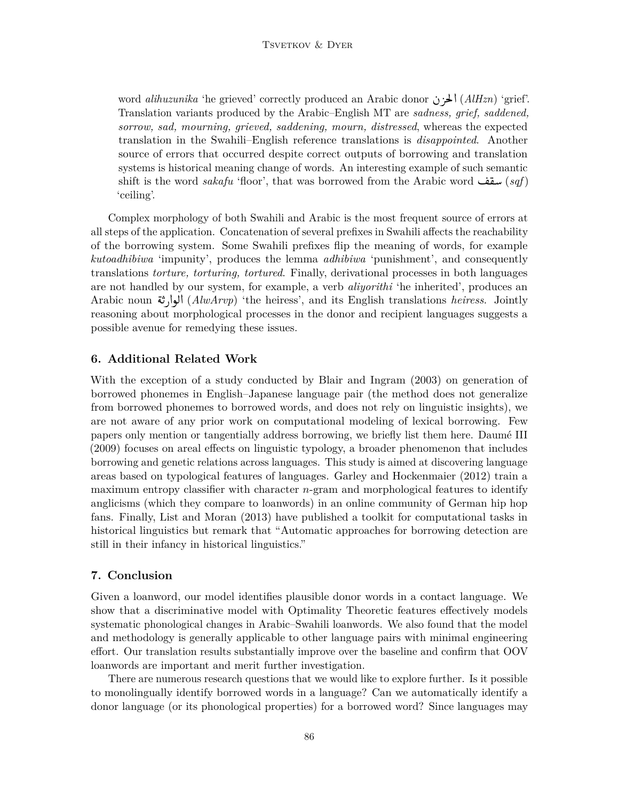word *alihuzunika* 'he grieved' correctly produced an Arabic donor **٤** (*AlHzn*) 'grief'. Translation variants produced by the Arabic–English MT are *sadness, grief, saddened, sorrow, sad, mourning, grieved, saddening, mourn, distressed*, whereas the expected translation in the Swahili–English reference translations is *disappointed*. Another source of errors that occurred despite correct outputs of borrowing and translation systems is historical meaning change of words. An interesting example of such semantic systems is historical meaning change of words. An interesting example of such semantic<br>
shift is the word *sakafu* 'floor', that was borrowed from the Arabic word سقف (*sqf*)  $\frac{1}{2}$ 'ceiling'.

Complex morphology of both Swahili and Arabic is the most frequent source of errors at all steps of the application. Concatenation of several prefixes in Swahili affects the reachability of the borrowing system. Some Swahili prefixes flip the meaning of words, for example *kutoadhibiwa* 'impunity', produces the lemma *adhibiwa* 'punishment', and consequently translations *torture, torturing, tortured*. Finally, derivational processes in both languages are not handled by our system, for example, a verb *aliyorithi* 'he inherited', produces an are not handled by our system, for example, a verb *aliyorithi* 'he inherited', produces an Arabic noun *i*)  $\mathcal{A}_l(w)$  'the heiress', and its English translations *heiress*. Jointly  $\frac{1}{2}$ reasoning about morphological processes in the donor and recipient languages suggests a possible avenue for remedying these issues.

# **6. Additional Related Work**

With the exception of a study conducted by Blair and Ingram (2003) on generation of borrowed phonemes in English–Japanese language pair (the method does not generalize from borrowed phonemes to borrowed words, and does not rely on linguistic insights), we are not aware of any prior work on computational modeling of lexical borrowing. Few papers only mention or tangentially address borrowing, we briefly list them here. Daumé III (2009) focuses on areal effects on linguistic typology, a broader phenomenon that includes borrowing and genetic relations across languages. This study is aimed at discovering language areas based on typological features of languages. Garley and Hockenmaier (2012) train a maximum entropy classifier with character *n*-gram and morphological features to identify anglicisms (which they compare to loanwords) in an online community of German hip hop fans. Finally, List and Moran (2013) have published a toolkit for computational tasks in historical linguistics but remark that "Automatic approaches for borrowing detection are still in their infancy in historical linguistics."

# **7. Conclusion**

Given a loanword, our model identifies plausible donor words in a contact language. We show that a discriminative model with Optimality Theoretic features effectively models systematic phonological changes in Arabic–Swahili loanwords. We also found that the model and methodology is generally applicable to other language pairs with minimal engineering effort. Our translation results substantially improve over the baseline and confirm that OOV loanwords are important and merit further investigation.

There are numerous research questions that we would like to explore further. Is it possible to monolingually identify borrowed words in a language? Can we automatically identify a donor language (or its phonological properties) for a borrowed word? Since languages may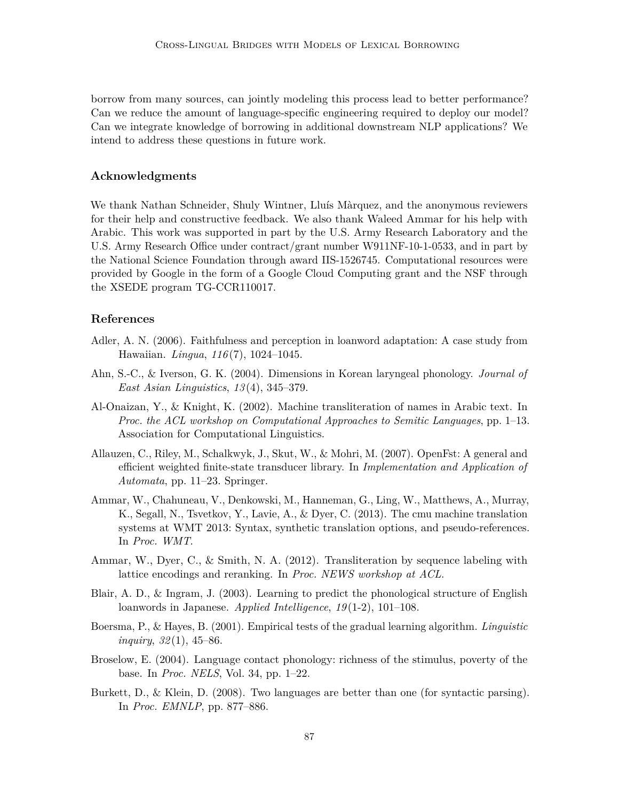borrow from many sources, can jointly modeling this process lead to better performance? Can we reduce the amount of language-specific engineering required to deploy our model? Can we integrate knowledge of borrowing in additional downstream NLP applications? We intend to address these questions in future work.

# **Acknowledgments**

We thank Nathan Schneider, Shuly Wintner, Lluís Màrquez, and the anonymous reviewers for their help and constructive feedback. We also thank Waleed Ammar for his help with Arabic. This work was supported in part by the U.S. Army Research Laboratory and the U.S. Army Research Office under contract/grant number W911NF-10-1-0533, and in part by the National Science Foundation through award IIS-1526745. Computational resources were provided by Google in the form of a Google Cloud Computing grant and the NSF through the XSEDE program TG-CCR110017.

# **References**

- Adler, A. N. (2006). Faithfulness and perception in loanword adaptation: A case study from Hawaiian. *Lingua*, *116* (7), 1024–1045.
- Ahn, S.-C., & Iverson, G. K. (2004). Dimensions in Korean laryngeal phonology. *Journal of East Asian Linguistics*, *13* (4), 345–379.
- Al-Onaizan, Y., & Knight, K. (2002). Machine transliteration of names in Arabic text. In *Proc. the ACL workshop on Computational Approaches to Semitic Languages*, pp. 1–13. Association for Computational Linguistics.
- Allauzen, C., Riley, M., Schalkwyk, J., Skut, W., & Mohri, M. (2007). OpenFst: A general and efficient weighted finite-state transducer library. In *Implementation and Application of Automata*, pp. 11–23. Springer.
- Ammar, W., Chahuneau, V., Denkowski, M., Hanneman, G., Ling, W., Matthews, A., Murray, K., Segall, N., Tsvetkov, Y., Lavie, A., & Dyer, C. (2013). The cmu machine translation systems at WMT 2013: Syntax, synthetic translation options, and pseudo-references. In *Proc. WMT*.
- Ammar, W., Dyer, C., & Smith, N. A. (2012). Transliteration by sequence labeling with lattice encodings and reranking. In *Proc. NEWS workshop at ACL*.
- Blair, A. D., & Ingram, J. (2003). Learning to predict the phonological structure of English loanwords in Japanese. *Applied Intelligence*, *19* (1-2), 101–108.
- Boersma, P., & Hayes, B. (2001). Empirical tests of the gradual learning algorithm. *Linguistic inquiry*, *32* (1), 45–86.
- Broselow, E. (2004). Language contact phonology: richness of the stimulus, poverty of the base. In *Proc. NELS*, Vol. 34, pp. 1–22.
- Burkett, D., & Klein, D. (2008). Two languages are better than one (for syntactic parsing). In *Proc. EMNLP*, pp. 877–886.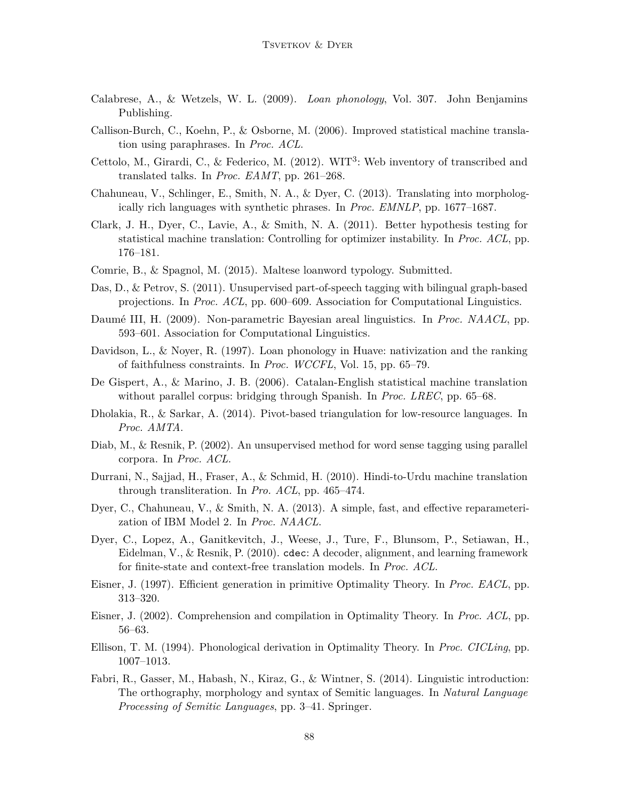- Calabrese, A., & Wetzels, W. L. (2009). *Loan phonology*, Vol. 307. John Benjamins Publishing.
- Callison-Burch, C., Koehn, P., & Osborne, M. (2006). Improved statistical machine translation using paraphrases. In *Proc. ACL*.
- Cettolo, M., Girardi, C., & Federico, M.  $(2012)$ . WIT<sup>3</sup>: Web inventory of transcribed and translated talks. In *Proc. EAMT*, pp. 261–268.
- Chahuneau, V., Schlinger, E., Smith, N. A., & Dyer, C. (2013). Translating into morphologically rich languages with synthetic phrases. In *Proc. EMNLP*, pp. 1677–1687.
- Clark, J. H., Dyer, C., Lavie, A., & Smith, N. A. (2011). Better hypothesis testing for statistical machine translation: Controlling for optimizer instability. In *Proc. ACL*, pp. 176–181.
- Comrie, B., & Spagnol, M. (2015). Maltese loanword typology. Submitted.
- Das, D., & Petrov, S. (2011). Unsupervised part-of-speech tagging with bilingual graph-based projections. In *Proc. ACL*, pp. 600–609. Association for Computational Linguistics.
- Daumé III, H. (2009). Non-parametric Bayesian areal linguistics. In *Proc. NAACL*, pp. 593–601. Association for Computational Linguistics.
- Davidson, L., & Noyer, R. (1997). Loan phonology in Huave: nativization and the ranking of faithfulness constraints. In *Proc. WCCFL*, Vol. 15, pp. 65–79.
- De Gispert, A., & Marino, J. B. (2006). Catalan-English statistical machine translation without parallel corpus: bridging through Spanish. In *Proc. LREC*, pp. 65–68.
- Dholakia, R., & Sarkar, A. (2014). Pivot-based triangulation for low-resource languages. In *Proc. AMTA*.
- Diab, M., & Resnik, P. (2002). An unsupervised method for word sense tagging using parallel corpora. In *Proc. ACL*.
- Durrani, N., Sajjad, H., Fraser, A., & Schmid, H. (2010). Hindi-to-Urdu machine translation through transliteration. In *Pro. ACL*, pp. 465–474.
- Dyer, C., Chahuneau, V., & Smith, N. A. (2013). A simple, fast, and effective reparameterization of IBM Model 2. In *Proc. NAACL*.
- Dyer, C., Lopez, A., Ganitkevitch, J., Weese, J., Ture, F., Blunsom, P., Setiawan, H., Eidelman, V., & Resnik, P. (2010). cdec: A decoder, alignment, and learning framework for finite-state and context-free translation models. In *Proc. ACL*.
- Eisner, J. (1997). Efficient generation in primitive Optimality Theory. In *Proc. EACL*, pp. 313–320.
- Eisner, J. (2002). Comprehension and compilation in Optimality Theory. In *Proc. ACL*, pp. 56–63.
- Ellison, T. M. (1994). Phonological derivation in Optimality Theory. In *Proc. CICLing*, pp. 1007–1013.
- Fabri, R., Gasser, M., Habash, N., Kiraz, G., & Wintner, S. (2014). Linguistic introduction: The orthography, morphology and syntax of Semitic languages. In *Natural Language Processing of Semitic Languages*, pp. 3–41. Springer.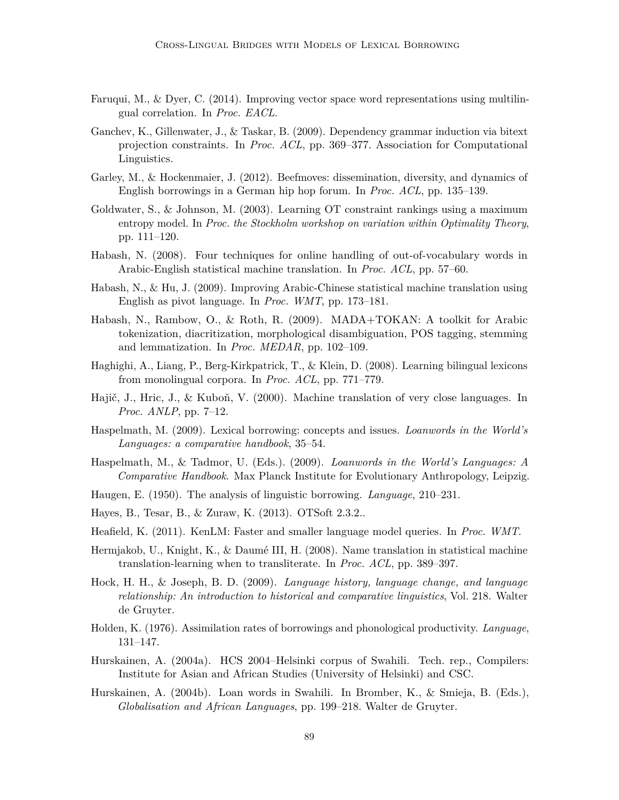- Faruqui, M., & Dyer, C. (2014). Improving vector space word representations using multilingual correlation. In *Proc. EACL*.
- Ganchev, K., Gillenwater, J., & Taskar, B. (2009). Dependency grammar induction via bitext projection constraints. In *Proc. ACL*, pp. 369–377. Association for Computational Linguistics.
- Garley, M., & Hockenmaier, J. (2012). Beefmoves: dissemination, diversity, and dynamics of English borrowings in a German hip hop forum. In *Proc. ACL*, pp. 135–139.
- Goldwater, S., & Johnson, M. (2003). Learning OT constraint rankings using a maximum entropy model. In *Proc. the Stockholm workshop on variation within Optimality Theory*, pp. 111–120.
- Habash, N. (2008). Four techniques for online handling of out-of-vocabulary words in Arabic-English statistical machine translation. In *Proc. ACL*, pp. 57–60.
- Habash, N., & Hu, J. (2009). Improving Arabic-Chinese statistical machine translation using English as pivot language. In *Proc. WMT*, pp. 173–181.
- Habash, N., Rambow, O., & Roth, R. (2009). MADA+TOKAN: A toolkit for Arabic tokenization, diacritization, morphological disambiguation, POS tagging, stemming and lemmatization. In *Proc. MEDAR*, pp. 102–109.
- Haghighi, A., Liang, P., Berg-Kirkpatrick, T., & Klein, D. (2008). Learning bilingual lexicons from monolingual corpora. In *Proc. ACL*, pp. 771–779.
- Hajič, J., Hric, J., & Kuboň, V. (2000). Machine translation of very close languages. In *Proc. ANLP*, pp. 7–12.
- Haspelmath, M. (2009). Lexical borrowing: concepts and issues. *Loanwords in the World's Languages: a comparative handbook*, 35–54.
- Haspelmath, M., & Tadmor, U. (Eds.). (2009). *Loanwords in the World's Languages: A Comparative Handbook*. Max Planck Institute for Evolutionary Anthropology, Leipzig.
- Haugen, E. (1950). The analysis of linguistic borrowing. *Language*, 210–231.
- Hayes, B., Tesar, B., & Zuraw, K. (2013). OTSoft 2.3.2..
- Heafield, K. (2011). KenLM: Faster and smaller language model queries. In *Proc. WMT*.
- Hermjakob, U., Knight, K., & Daumé III, H. (2008). Name translation in statistical machine translation-learning when to transliterate. In *Proc. ACL*, pp. 389–397.
- Hock, H. H., & Joseph, B. D. (2009). *Language history, language change, and language relationship: An introduction to historical and comparative linguistics*, Vol. 218. Walter de Gruyter.
- Holden, K. (1976). Assimilation rates of borrowings and phonological productivity. *Language*, 131–147.
- Hurskainen, A. (2004a). HCS 2004–Helsinki corpus of Swahili. Tech. rep., Compilers: Institute for Asian and African Studies (University of Helsinki) and CSC.
- Hurskainen, A. (2004b). Loan words in Swahili. In Bromber, K., & Smieja, B. (Eds.), *Globalisation and African Languages*, pp. 199–218. Walter de Gruyter.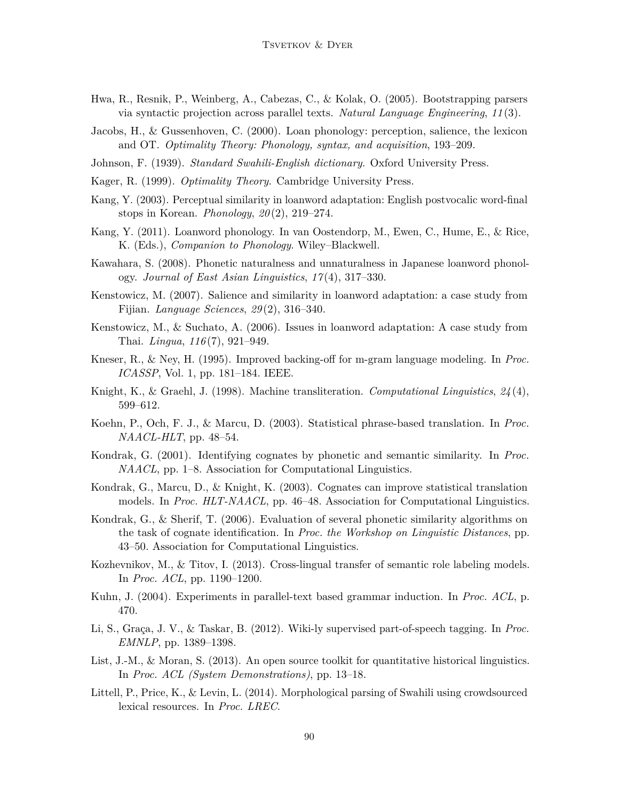- Hwa, R., Resnik, P., Weinberg, A., Cabezas, C., & Kolak, O. (2005). Bootstrapping parsers via syntactic projection across parallel texts. *Natural Language Engineering*, *11* (3).
- Jacobs, H., & Gussenhoven, C. (2000). Loan phonology: perception, salience, the lexicon and OT. *Optimality Theory: Phonology, syntax, and acquisition*, 193–209.
- Johnson, F. (1939). *Standard Swahili-English dictionary*. Oxford University Press.
- Kager, R. (1999). *Optimality Theory*. Cambridge University Press.
- Kang, Y. (2003). Perceptual similarity in loanword adaptation: English postvocalic word-final stops in Korean. *Phonology*, *20* (2), 219–274.
- Kang, Y. (2011). Loanword phonology. In van Oostendorp, M., Ewen, C., Hume, E., & Rice, K. (Eds.), *Companion to Phonology*. Wiley–Blackwell.
- Kawahara, S. (2008). Phonetic naturalness and unnaturalness in Japanese loanword phonology. *Journal of East Asian Linguistics*, *17* (4), 317–330.
- Kenstowicz, M. (2007). Salience and similarity in loanword adaptation: a case study from Fijian. *Language Sciences*, *29* (2), 316–340.
- Kenstowicz, M., & Suchato, A. (2006). Issues in loanword adaptation: A case study from Thai. *Lingua*, *116* (7), 921–949.
- Kneser, R., & Ney, H. (1995). Improved backing-off for m-gram language modeling. In *Proc. ICASSP*, Vol. 1, pp. 181–184. IEEE.
- Knight, K., & Graehl, J. (1998). Machine transliteration. *Computational Linguistics*, *24* (4), 599–612.
- Koehn, P., Och, F. J., & Marcu, D. (2003). Statistical phrase-based translation. In *Proc. NAACL-HLT*, pp. 48–54.
- Kondrak, G. (2001). Identifying cognates by phonetic and semantic similarity. In *Proc. NAACL*, pp. 1–8. Association for Computational Linguistics.
- Kondrak, G., Marcu, D., & Knight, K. (2003). Cognates can improve statistical translation models. In *Proc. HLT-NAACL*, pp. 46–48. Association for Computational Linguistics.
- Kondrak, G., & Sherif, T. (2006). Evaluation of several phonetic similarity algorithms on the task of cognate identification. In *Proc. the Workshop on Linguistic Distances*, pp. 43–50. Association for Computational Linguistics.
- Kozhevnikov, M., & Titov, I. (2013). Cross-lingual transfer of semantic role labeling models. In *Proc. ACL*, pp. 1190–1200.
- Kuhn, J. (2004). Experiments in parallel-text based grammar induction. In *Proc. ACL*, p. 470.
- Li, S., Graça, J. V., & Taskar, B. (2012). Wiki-ly supervised part-of-speech tagging. In *Proc. EMNLP*, pp. 1389–1398.
- List, J.-M., & Moran, S. (2013). An open source toolkit for quantitative historical linguistics. In *Proc. ACL (System Demonstrations)*, pp. 13–18.
- Littell, P., Price, K., & Levin, L. (2014). Morphological parsing of Swahili using crowdsourced lexical resources. In *Proc. LREC*.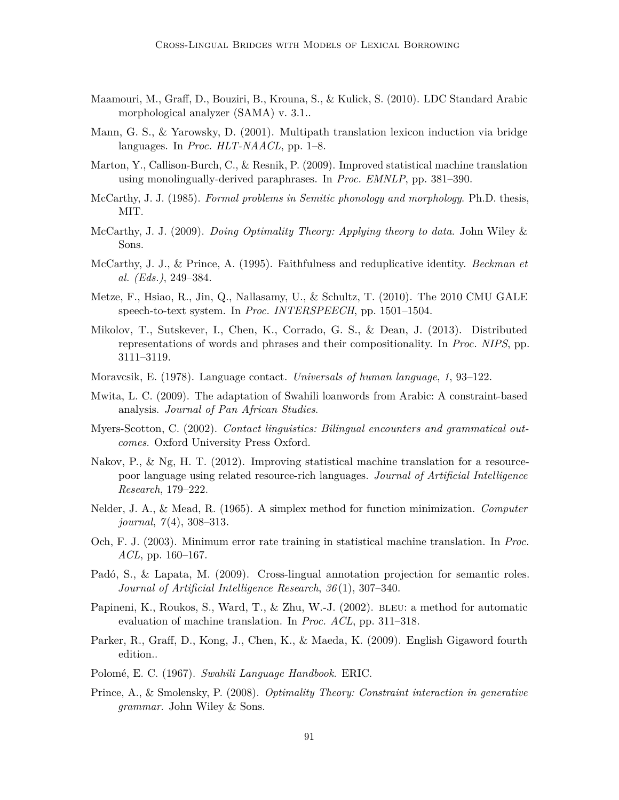- Maamouri, M., Graff, D., Bouziri, B., Krouna, S., & Kulick, S. (2010). LDC Standard Arabic morphological analyzer (SAMA) v. 3.1..
- Mann, G. S., & Yarowsky, D. (2001). Multipath translation lexicon induction via bridge languages. In *Proc. HLT-NAACL*, pp. 1–8.
- Marton, Y., Callison-Burch, C., & Resnik, P. (2009). Improved statistical machine translation using monolingually-derived paraphrases. In *Proc. EMNLP*, pp. 381–390.
- McCarthy, J. J. (1985). *Formal problems in Semitic phonology and morphology*. Ph.D. thesis, MIT.
- McCarthy, J. J. (2009). *Doing Optimality Theory: Applying theory to data*. John Wiley & Sons.
- McCarthy, J. J., & Prince, A. (1995). Faithfulness and reduplicative identity. *Beckman et al. (Eds.)*, 249–384.
- Metze, F., Hsiao, R., Jin, Q., Nallasamy, U., & Schultz, T. (2010). The 2010 CMU GALE speech-to-text system. In *Proc. INTERSPEECH*, pp. 1501–1504.
- Mikolov, T., Sutskever, I., Chen, K., Corrado, G. S., & Dean, J. (2013). Distributed representations of words and phrases and their compositionality. In *Proc. NIPS*, pp. 3111–3119.
- Moravcsik, E. (1978). Language contact. *Universals of human language*, *1*, 93–122.
- Mwita, L. C. (2009). The adaptation of Swahili loanwords from Arabic: A constraint-based analysis. *Journal of Pan African Studies*.
- Myers-Scotton, C. (2002). *Contact linguistics: Bilingual encounters and grammatical outcomes*. Oxford University Press Oxford.
- Nakov, P., & Ng, H. T. (2012). Improving statistical machine translation for a resourcepoor language using related resource-rich languages. *Journal of Artificial Intelligence Research*, 179–222.
- Nelder, J. A., & Mead, R. (1965). A simplex method for function minimization. *Computer journal*, *7* (4), 308–313.
- Och, F. J. (2003). Minimum error rate training in statistical machine translation. In *Proc. ACL*, pp. 160–167.
- Padó, S., & Lapata, M. (2009). Cross-lingual annotation projection for semantic roles. *Journal of Artificial Intelligence Research*, *36* (1), 307–340.
- Papineni, K., Roukos, S., Ward, T., & Zhu, W.-J. (2002). BLEU: a method for automatic evaluation of machine translation. In *Proc. ACL*, pp. 311–318.
- Parker, R., Graff, D., Kong, J., Chen, K., & Maeda, K. (2009). English Gigaword fourth edition..
- Polomé, E. C. (1967). *Swahili Language Handbook*. ERIC.
- Prince, A., & Smolensky, P. (2008). *Optimality Theory: Constraint interaction in generative grammar*. John Wiley & Sons.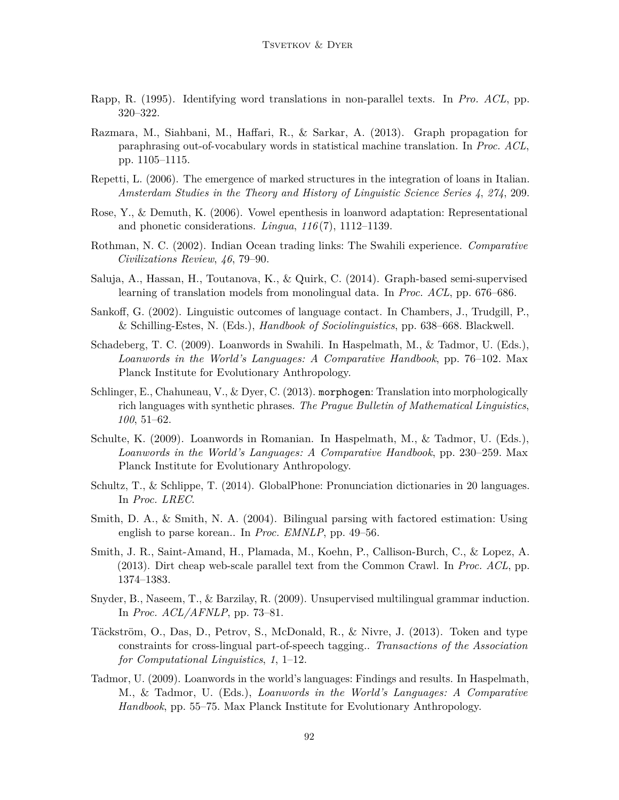- Rapp, R. (1995). Identifying word translations in non-parallel texts. In *Pro. ACL*, pp. 320–322.
- Razmara, M., Siahbani, M., Haffari, R., & Sarkar, A. (2013). Graph propagation for paraphrasing out-of-vocabulary words in statistical machine translation. In *Proc. ACL*, pp. 1105–1115.
- Repetti, L. (2006). The emergence of marked structures in the integration of loans in Italian. *Amsterdam Studies in the Theory and History of Linguistic Science Series 4*, *274*, 209.
- Rose, Y., & Demuth, K. (2006). Vowel epenthesis in loanword adaptation: Representational and phonetic considerations. *Lingua*, *116* (7), 1112–1139.
- Rothman, N. C. (2002). Indian Ocean trading links: The Swahili experience. *Comparative Civilizations Review*, *46*, 79–90.
- Saluja, A., Hassan, H., Toutanova, K., & Quirk, C. (2014). Graph-based semi-supervised learning of translation models from monolingual data. In *Proc. ACL*, pp. 676–686.
- Sankoff, G. (2002). Linguistic outcomes of language contact. In Chambers, J., Trudgill, P., & Schilling-Estes, N. (Eds.), *Handbook of Sociolinguistics*, pp. 638–668. Blackwell.
- Schadeberg, T. C. (2009). Loanwords in Swahili. In Haspelmath, M., & Tadmor, U. (Eds.), *Loanwords in the World's Languages: A Comparative Handbook*, pp. 76–102. Max Planck Institute for Evolutionary Anthropology.
- Schlinger, E., Chahuneau, V., & Dyer, C. (2013). morphogen: Translation into morphologically rich languages with synthetic phrases. *The Prague Bulletin of Mathematical Linguistics*, *100*, 51–62.
- Schulte, K. (2009). Loanwords in Romanian. In Haspelmath, M., & Tadmor, U. (Eds.), *Loanwords in the World's Languages: A Comparative Handbook*, pp. 230–259. Max Planck Institute for Evolutionary Anthropology.
- Schultz, T., & Schlippe, T. (2014). GlobalPhone: Pronunciation dictionaries in 20 languages. In *Proc. LREC*.
- Smith, D. A., & Smith, N. A. (2004). Bilingual parsing with factored estimation: Using english to parse korean.. In *Proc. EMNLP*, pp. 49–56.
- Smith, J. R., Saint-Amand, H., Plamada, M., Koehn, P., Callison-Burch, C., & Lopez, A. (2013). Dirt cheap web-scale parallel text from the Common Crawl. In *Proc. ACL*, pp. 1374–1383.
- Snyder, B., Naseem, T., & Barzilay, R. (2009). Unsupervised multilingual grammar induction. In *Proc. ACL/AFNLP*, pp. 73–81.
- Täckström, O., Das, D., Petrov, S., McDonald, R., & Nivre, J. (2013). Token and type constraints for cross-lingual part-of-speech tagging.. *Transactions of the Association for Computational Linguistics*, *1*, 1–12.
- Tadmor, U. (2009). Loanwords in the world's languages: Findings and results. In Haspelmath, M., & Tadmor, U. (Eds.), *Loanwords in the World's Languages: A Comparative Handbook*, pp. 55–75. Max Planck Institute for Evolutionary Anthropology.